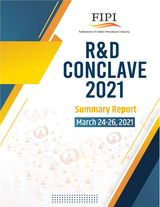

Federation of Indian Petroleum Industry

# R&D CONCLAVE 2021 **Summary Report** March 24-26, 2021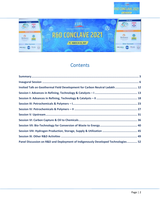



## **Contents**

| Invited Talk on Geothermal Field Development for Carbon Neutral Ladakh 12        |  |
|----------------------------------------------------------------------------------|--|
|                                                                                  |  |
|                                                                                  |  |
|                                                                                  |  |
|                                                                                  |  |
|                                                                                  |  |
|                                                                                  |  |
|                                                                                  |  |
|                                                                                  |  |
|                                                                                  |  |
| Panel Discussion on R&D and Deployment of Indigenously Developed Technologies 52 |  |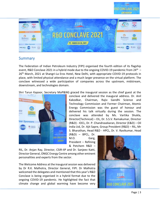



## <span id="page-2-0"></span>**Summary**

The Federation of Indian Petroleum Industry (FIPI) organised the fourth edition of its flagship event, R&D Conclave 2021 in a hybrid mode due to the ongoing COVID-19 pandemic from 24<sup>th</sup> -26<sup>th</sup> March, 2021 at Shangri-La Eros Hotel, New Delhi, with appropriate COVID-19 protocols in place, with limited physical attendance and a much larger presence on the virtual platform. The conclave witnessed a wide participation of companies across the upstream, midstream, downstream, and technologies domain.

Shri Tarun Kapoor, Secretary MoP&NG graced the inaugural session as the chief guest at the



conclave and delivered the inaugural address. Dr. Anil Kakodkar, Chairman, Rajiv Gandhi Science and Technology Commission and Former Chairman, Atomic Energy Commission was the guest of honour and delivered his talk virtually during the session. The conclave was attended by Ms. Vartika Shukla, Director(Technical) – EIL, Dr. S.S.V. Ramakumar, Director (R&D) - IOCL, Dr. P. Chandrasekaran, Director (E&D) – Oil India Ltd, Dr. Ajit Sapre, Group President (R&D) – RIL, Mr S. Bharathan, Head R&D - HPCL, Dr. V. Ravikumar, Head

(R&D) – BPCL, Dr. M.O. Garg, President – Refining & Petchem R&D –

RIL, Dr. Anjan Ray, Director, CSIR-IIP and Dr. Sanjeev Katti, Director General, ONGC Energy Centre among other eminent personalities and experts from the sector.

The Welcome Address at the inaugural session was delivered by Dr R.K. Malhotra, Director General, FIPI. Dr Malhotra welcomed the delegates and mentioned that this year's R&D Conclave is being organised in a hybrid format due to the ongoing COVID-19 pandemic. He highlighted the fact that climate change and global warming have become very

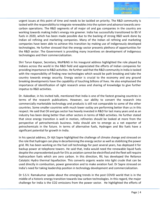

urgent issues at this point of time and needs to be tackled on priority. The R&D community is tasked with the responsibility to integrate renewables into the system and advance towards zerocarbon operations. The R&D segments of all major oil and gas companies in the country are working towards making India's energy mix greener. India has successfully transitioned to BS VI fuels in 2020, which has been made possible due to the backing of strong R&D work done by Indian oil refining and marketing companies. Many of the Indian oil refining and marketing companies have been able to achieve this transition by making use of indigenously developed technologies. He further stressed that the energy sector presents plethora of opportunities for the R&D sector. The Government is providing many incentives on development of indigenous technologies and their commercialization.

Shri Tarun Kapoor, Secretary, MoP&NG in his inaugural address highlighted the role played by Indians across the world in the R&D field and appreciated the efforts of Indian companies for providing importance to R&D activities. He further said that the R&D community in India is tasked with the responsibility of finding new technologies which would be path breaking and take the country towards energy security. Energy sector is crucial to the economy and any ground breaking developments have the capability of touching billions of lives. He also emphasised the importance of identification of right research areas and sharing of knowledge to give further impetus to R&D activities.

Dr. Kakodkar, in his invited talk, mentioned that India is one of the fastest growing countries in terms of the research publications. However, our ability to convert the research into commercially marketable technology and products is still not comparable to some of the other countries. Some smaller countries with much lower outlay are performing better than us in this respect. He said that Oil and gas sector has heavily invested in R&D for last many years and as an industry has been doing better than other sectors in terms of R&D activities. He further stated that since energy transition is well in motion, refineries should be looked at more from the perspective of petrochemicals business. India should aim to emerge as a net exporter of petrochemicals in the future. In terms of alternative fuels, Hydrogen and Bio fuels have a significant potential for growth in India.

In his special address, Dr Ajit Sapre highlighted the challenge of climate change and stressed on the role that hydrogen can play in decarbonising the energy sector as well as stabilizing the power grid. RIL has been working on the fuel cell technology for past several years, has deployed it for backup power at telephone towers. He said that, India would need the renewable liquid fuels despite the unprecedented push for EVs as aviation cannot be electrified and the fleet will require hydrocarbon fuels which are zero carbon. In this direction, RIL has developed the Reliance Catalytic Hydro thermal liquefaction. This converts organic waste into light crude that can be used directly in combustion, power generation and to make aviation fuel. Dr Sapre stressed on India's need for taking leadership position in technology development and commercialization.

Dr S.S.V. Ramakumar spoke about the emerging trends in the post COVID world that is in the middle of a historic energy transition towards low carbon technologies. In this regard, the major challenge for India is the CO2 emissions from the power sector. He highlighted the efforts of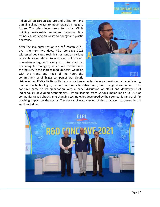

Indian Oil on carbon capture and utilization, and pursuing all pathways, to move towards a net zero future. The other focus areas for Indian Oil is building sustainable refineries including biorefineries, working on waste to energy and plastic neutrality.

After the inaugural session on  $24<sup>th</sup>$  March 2021, over the next two days, R&D Conclave 2021 witnessed dedicated technical sessions on various research areas related to upstream, midstream, downstream segments along with discussion on upcoming technologies, which will revolutionize the industry in the short to medium term. Going on with the trend and need of the hour, the commitment of oil & gas companies was clearly



visible in their R&D activities with focus on various aspects of energy transition such as efficiency, low carbon technologies, carbon capture, alternative fuels, and energy conservation. The conclave came to its culmination with a panel discussion on 'R&D and deployment of indigenously developed technologies', where leaders from various major Indian Oil & Gas companies talked about game changing technologies developed by their companies and their far reaching impact on the sector. The details of each session of the conclave is captured in the sections below.

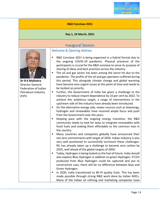#### **R&D Conclave 2021**

#### **Day 1, 24 March, 2021**

## Inaugural Session

<span id="page-5-0"></span>

**Dr R K Malhotra** Director General Federation of Indian Petroleum Industry (FIPI)

#### Welcome & Opening Address

- R&D Conclave 2021 is being organized in a hybrid format due to the ongoing COVID-19 pandemic. Physical presence of the participants is crucial for the R&D conclave to serve its purpose of sharing of ideas and best practices across the industry.
- The oil and gas sector has been among the worst hit due to the pandemic. The profits of the oil and gas operators suffered during this period. This alongside climate change and global warming have become very urgent issues at this point of time and needs to be tackled on priority.
- Further, the Government of India has given a challenge to the industry to reduce import dependence by 10 per cent by 2022. To achieve this ambitious target, a range of interventions in the upstream side of the industry have already been introduced.
- On the alternative energy side, newer sources such as bioenergy, hydrogen and renewables have received ample focus and push from the Government over the years.
- Keeping pace with the ongoing energy transition, the R&D community needs to look for ways to integrate renewables with fossil fuels and making them affordable to the common man in the country.
- Many countries and companies globally have announced their net-zero commitments with target of 2050. Indian Industry is also very well positioned to successfully surmount these challenges. RIL has already taken up a challenge to become zero carbon by 2035, well ahead of the global targets of 2050.
- Today, Hydrogen is being looked as the fuel of future. India should also explore Blue Hydrogen in addition to green Hydrogen. If CO2 produced from Blue Hydrogen could be captured and put to constructive uses, there will be no difference between blue and Green Hydrogen.
- In 2020, India transitioned to BS-VI quality fuels. This has been made possible through strong R&D work done by Indian NOCs. Many of the Indian oil refining and marketing companies have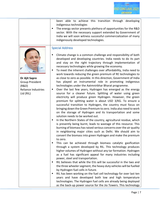been able to achieve this transition through developing indigenous technologies ■ The energy sector presents plethora of opportunities for the R&D sector. With the necessary support extended by Government of India we will soon witness successful commercialization of many indigenously developed technologies. **Dr Ajit Sapre** Group President (R&D) Reliance Industries Ltd (RIL) Special Address ■ Climate change is a common challenge and responsibility of both developed and developing countries. India needs to do its part and stay on the right trajectory through implementation of necessary technologies while growing the economy. ■ To meet the inherent challenges over affordability, India need to work towards reducing the green premium of RE technologies to as close to zero as possible. In this direction, Government of India has played an instrumental role in promoting indigenous technologies under the Aatmnirbhar Bharat programme. ■ Over the last few years, Hydrogen has emerged as the energy source for a cleaner future. Splitting of water using green electricity will produce green Hydrogen. However, the green premium for splitting water is about USD 3/KG. To ensure a successful transition to Hydrogen, the country must focus on bringing down the Green Premium to zero. India also need to work on the storage of Hydrogen and its transportation and some solution needs to be worked out. ■ In the Northern States of the country, agricultural residue, which is presently being burnt, leads to wastage of this resource. This burning of biomass has raised serious concerns over the air quality in neighboring major cities such as Delhi. We should aim to convert the biomass into green Hydrogen and make the premium to zero. **This can be achieved through biomass catalytic gasification** through a system developed by RIL. This technology produces higher volumes of Hydrogen without any tar formation. Hydrogen as a fuel has significant appeal for many industries including power, steel and transportation. RIL believes that while the EVs will be successful in the two and the three wheeler segment, the heavy duty vehicles will be fuelled by Hydrogen fuel cells in future. ■ RIL has been working on the fuel cell technology for over last ten years and have developed both low and high temperature technologies. The Hydrogen fuel cells are already being deployed as the back-up power source for the Jio Towers. This technology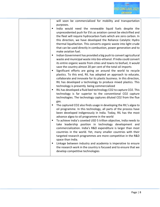

| will soon be commercialized for mobility and transportation<br>purposes.                                                                |
|-----------------------------------------------------------------------------------------------------------------------------------------|
| India would need the renewable liquid fuels despite the<br>٠                                                                            |
| unprecedented push for EVs as aviation cannot be electrified and                                                                        |
| the fleet will require hydrocarbon fuels which are zero carbon. In                                                                      |
| this direction, we have developed the Reliance Catalytic Hydro                                                                          |
| thermal liquefaction. This converts organic waste into light crude                                                                      |
| that can be used directly in combustion, power generation and to                                                                        |
| make aviation fuel.                                                                                                                     |
| Indian Government has provided a big push to convert agricultural<br>$\blacksquare$                                                     |
| waste and municipal waste into bio-ethanol. If India could convert                                                                      |
| its entire organic waste from cities and towns to biofuel, it would                                                                     |
| save the country almost 20 per cent of the total oil imports                                                                            |
| Significant efforts are going on around the world to recycle<br>٠                                                                       |
| plastics. To this end, RIL has adopted an approach to educate,<br>collaborate and innovate for its plastic business. In this direction, |
| RIL has developed a technology to produce mixed plastics. This                                                                          |
| technology is presently being commercialized                                                                                            |
| RIL has developed a fluid bed technology CO2 to capture CO2. This<br>$\blacksquare$                                                     |
| technology is far superior to the conventional CO2 capture                                                                              |
| technologies. The technology captures diluted CO2 from the flue                                                                         |
| gas.                                                                                                                                    |
| The captured CO2 also finds usage in developing the RIL's algea to                                                                      |
| oil programme. In this technology, all parts of the process have                                                                        |
| been developed indigenously in India. Today, RIL has the most                                                                           |
| advance algea to oil programme in the world                                                                                             |
| To achieve India's coveted USD 5 trillion objective, India needs to<br>٠                                                                |
| take leadership position in technology development and                                                                                  |
| commercialization. India's R&D expenditure is larger than most                                                                          |
| countries in the world. Yet, many smaller countries with their<br>targeted research programmes are more competitive in the R&D          |
| space than India.                                                                                                                       |
| Linkage between industry and academia is imperative to ensure<br>٠                                                                      |
| the research work in the country is focused and to ensure that we                                                                       |
| develop competitive technologies                                                                                                        |
|                                                                                                                                         |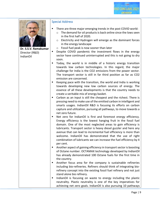

**Dr. S.S.V. Ramakumar** Director (R&D) IndianOil

#### Special Address

- There are three major emerging trends in the post COVID world:
	- o The demand for oil products is back online since the lows seen in the first half of 2020.
	- o Electricity and Hydrogen will emerge as the dominant forces in the energy landscape
	- o Fossil fuel peak is now sooner than later
- Despite COVID pandemic the investment flows in the energy sector have continued uninterrupted and this is not going to dry soon.
- Today, the world is in middle of a historic energy transition towards low carbon technologies. In this regard, the major challenge for India is the CO2 emissions from the power sector. The transport sector is still in far third position as far as CO2 emission are concerned.
- Keeping pace with the transition, the world and India is working towards developing new low carbon sources of energy. The essence of all these developments is that the country needs to create a veritable mix of energy basket.
- Carbon as an input is still the cheapest and the richest. There is pressing need to make use of the emitted carbon in intelligent and smarts usages. IndianOil R&D is focusing its efforts on carbon capture and utilization, pursuing all pathways, to move towards a net zero future.
- Net zero for IndianOil is first and foremost energy efficiency. Energy efficiency is the lowest hanging fruit in the fossil fuel domain. One of the most neglected areas to gain efficiency is lubricants. Transport sector is heavy diesel guzzler and here any avenue that can lead to incremental fuel efficiency is more than welcome. IndianOil has demonstrated that the use of right combination of lubricants we can increase the fuel efficiency by 4 per cent.
- Another aspect of gaining efficiency in transport sector is boosting of Octane number. OCTAMAX technology developed by IndianOil has already demonstrated 100 Octane fuels for the first time in the country.
- Another focus area for the company is sustainable refineries including bio-refineries. Refiners should think of integrating biorefinery concept into the existing fossil fuel refinery and not just stand alone bio refinery.
- IndianOil is focusing on waste to energy including the plastic neutrality. Plastic neutrality is one of the key imperatives for achieving net zero goals. IndianOil is also pursuing 10 pathways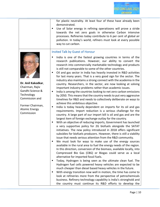

| for plastic neutrality. At least four of these have already been |  |  |
|------------------------------------------------------------------|--|--|
| demonstrated.                                                    |  |  |

■ Use of Solar energy in refining operatioons will prove a stride towards the net zero goals in otherwise Carbon intensive processes. Refineries today contribute to 6 per cent of global air pollution. In today's world, refiners must look at every possible way to cut carbon.

#### Invited Talk by Guest of Honour

- India is one of the fastest growing countries in terms of the research publications. However, our ability to convert the research into commercially marketable technology and products is still not comparable to some of the other countries.
- Oil and gas sector in India has heavily invested in R&D activities for last many years. That is a very good sign for the sector. The industry also maintains a strong connect with the academia in the country. Researchers, in the sector, are now looking at solving important industry problems rather than academic issues.
- India is among the countries looking to net zero carbon emissions by 2050. This means that the country needs to put very aggressive timelines for R&D and needs to collectively deliberate on ways to achieve this ambitious objective.
- India is today heavily dependent on imports for its oil and gas requirements. Import reduction is a serious challenge for the country. A large part of our import bill is oil and gas and are the largest item of foreign exchange outlay for the country.
- With an objective of reducing imports, Government has launched a very supportive policy for 2G biofuels alongside the SATAT initiatives. The new policy introduced in 2018 offers significant subsidies for biofuels producers. However, there is still a viability issue that needs serious attention from the R&D community.
- We must look for ways to make use of the energy sources available in the rural area to fuel the energy needs of the region. In this direction, conversion of the biomass, available locally, into Compressed Bio Gas (CBG) or Biogas could serve as a local alternative for imported fossil fuels.
- Today, Hydrogen is being seen as the ultimate clean fuel. The Hydrogen fuel cells powered heavy vehicles are expected to be much cheaper than diesel based heavy vehicles in the future.
- With energy transition now well in motion, the time has come to look at refineries more from the perspective of petrochemicals business. Refinery technology capability is India's stronghold and the country must continue its R&D efforts to develop the



**Dr. Anil Kakodkar**, Chairman, Rajiv Gandhi Science & **Technology** Commission and

Former Chairman, Atomic Energy Commission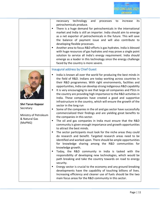|                                                                                            | technology<br>and<br>increase<br>its<br>necessary<br>processes<br>to<br>petrochemicals produce.<br>There is a huge demand for petrochemicals in the international<br>п<br>market and India is still an importer. India should aim to emerge<br>as a net exporter of petrochemicals in the future. This will save<br>the balance of payment issue and will also contribute to<br>developing flexible processes.<br>Another area to focus R&D efforts is gas hydrates. India is blessed<br>п<br>with huge resources of gas hydrates and may prove a single point<br>solution to service all India's energy requirement. India should<br>emerge as a leader in this technology since the energy challenge<br>faced by the country is more severe.                                                                                                                                                                                                                                                                                                                                                                                                                                                                                                                                                                                                                                                                                                                                                                                                                                                                                                                                                                                                         |
|--------------------------------------------------------------------------------------------|--------------------------------------------------------------------------------------------------------------------------------------------------------------------------------------------------------------------------------------------------------------------------------------------------------------------------------------------------------------------------------------------------------------------------------------------------------------------------------------------------------------------------------------------------------------------------------------------------------------------------------------------------------------------------------------------------------------------------------------------------------------------------------------------------------------------------------------------------------------------------------------------------------------------------------------------------------------------------------------------------------------------------------------------------------------------------------------------------------------------------------------------------------------------------------------------------------------------------------------------------------------------------------------------------------------------------------------------------------------------------------------------------------------------------------------------------------------------------------------------------------------------------------------------------------------------------------------------------------------------------------------------------------------------------------------------------------------------------------------------------------|
| <b>Shri Tarun Kapoor</b><br>Secretary<br>Ministry of Petroleum<br>& Natural Gas<br>(MoPNG) | <b>Inaugural address by Chief Guest</b><br>India is known all over the world for producing the best minds in<br>the field of R&D. Indians are today working across countries in<br>their R&D programmes. With right environments, facilities and<br>opportunities, India can develop strong indigenous R&D capability<br>It is very encouraging to see that large oil companies and PSUs in<br>the country are providing high importance to the R&D activities in<br>India. These companies have created a good and supportive<br>infrastructure in the country, which will ensure the growth of the<br>sector in the long run<br>Some of the companies in the oil and gas sector have successfully<br>п<br>commercialized their findings and are yielding great benefits to<br>the companies in this sector.<br>The oil and gas companies in India must ensure that the R&D<br>٠<br>community is given enough importance and growth opportunities<br>to attract the best minds.<br>The sector participants must look for the niche areas they could<br>do research and benefit. Targeted research areas need to be<br>identified and worked upon. There should be ample opportunities<br>for knowledge sharing among the R&D communities for<br>knowledge growth.<br>Today, the R&D community in India is tasked with the<br>٠<br>responsibility of developing new technologies, which would be<br>path breaking and take the country towards on road to energy<br>security.<br>Energy sector is crucial to the economy and any ground breaking<br>п<br>developments have the capability of touching billions of lives.<br>Increasing efficiency and cleaner use of fuels should be the two<br>main focus areas for the R&D community in this sector. |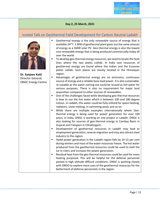#### **Day 2, 25 March, 2021**

## <span id="page-11-0"></span>Invited Talk on Geothermal Field Development for Carbon Neutral Ladakh



**Dr. Sanjeev Katti** Director General, ONGC Energy Centre

- Geothermal energy is the only renewable source of energy that is available 24\*7. 1 MW of geothermal plant gives out the same amount of energy as a 5MW solar PV. Geo-thermal energy is also the lowest cost renewable energy that is being produced commercially today all over the world.
- To develop geo-thermal energy resources, we need to locate the fault lines where the two plates collide. In India vast resources of geothermal energy are found where the Indian and the Eurasian plates collide. Such places are mostly located in the Himalayan region.
- Advantages of geothermal energy are no emissions, continuous source of energy and a reliable base load power. It is also sustainable, re-useable as the water coming out could be reused as hot water for various purposes. There is also no requirement for major land acquisition compared to other sources of renewables.
- One of the challenges faced while developing geo-thermal resources is how to use the hot water which is between 100 and 180 degree Celsius. In Ladakh, this water could be fully utilized for space heating, radiators, snow melting, in swimming pools and so on.
- While there are multiple examples internationally where Geothermal energy is being used for power generation for over 100 years, in India, ONGC is working on one project in Ladakh. ONGC is also looking for sources of geo-thermal energy in Cambay Basin in Gujarat and Tatapani in Chhattisgarh.
- Development of geothermal resources in Ladakh may lead to employment generation, reverse migration and may also attract steel industry to the region.
- Hydel power generation in the Ladakh region falls by 10-15 per cent during winters and most of the water resources freeze. The hot water produced from the geothermal resources could be used to melt the ice in rivers and increase the power generation.
- Residual heat from the geo thermal resources could be used for room heating purposed. This will be helpful for the defense personnel posted in high altitude difficult conditions. ONGC is working closely with DRDO to explore more uses of the geothermal resources for the betterment of defense personnels in the region.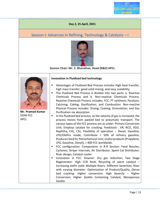#### **Day 2, 25 April, 2021**

## <span id="page-12-0"></span>Session I: Advances in Refining, Technology & Catalysts – I



**Session Chair: Mr. S. Bharathan, Head (R&D) HPCL**



**Mr. Pramod Kumar** DGM-FCC HPCL

#### **Innovation in Fluidized bed technology**

- Advantages of Fluidized Bed Process includes High heat transfer, high mass transfer; good solid mixing; and easy scalability.
- The Fluidized Bed Process is divided into two parts: a. Reactive Chemicals Process and b. Non-reactive Chemicals Process. Reactive Chemicals Process includes: FCC; FT synthesis; Pyrolysis; Calcining; Coking; Gasification; and Combustion. Non-reactive Physical Process includes: Drying; Coating; Granulation; and Gas Purification via absorption.
- In the fluidized bed process, as the velocity of gas is increased, the process moves from packed bed to pneumatic transport. The various types of the FCC process are as under: Primary Conversion Unit; Employs catalyst for cracking; Feedstock : VR, RCO, VGO, Naphtha, C4s, C3s; Flexibility of operation – Diesel, Gasoline, LPG/Olefins mode; Contribute > 50% of refinery gasoline; Produces feed for Petrochemical Unit; Useful products (Propylene, LPG, Gasoline, Diesel); > 400 FCC worldwide.
- **ECC configuration: Components in R-R Section: Feed Nozzles;** Cyclones; Striper Internals; Air Distributor; Spent Cat Distributor; Riser design; Catalyst cooler.
- Innovation in FCC: Downer- Dry gas reduction; Two Stage Regenerator- High CCR feed; Recycling of spent catalyst – Increasing olefin yield; Multiple Risers- Different Severities; Riser with varying diameter- Optimization of Product/Quality; Dense bed cracking- Higher conversion; High Severity – Higher Conversion; Higher Zeolite Containing Catalyst; Mesoporous Zeolite.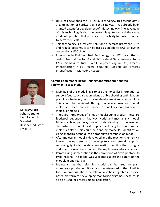

|                                                                                                        | HPCL has developed the [HP]2FCC Technology. This technology is<br>п<br>a combination of hardware and the catalyst. It has already been<br>granted patent for development of this technology. The advantage<br>of this technology is that the bottom is quite low and the swing<br>mode of operation that provides the flexibility to move from fuel<br>to petrochemicals.<br>This technology is a low cost solution to increase propylene, RON<br>п<br>and reduce bottoms. It can be used as an additive/Co-catalyst in<br>conventional FCC Units.<br>Innovation in Fluidized Bed Technology by HPCL: Naphtha to<br>olefins; Natural Gas to H2 and CNT; Natural Gas conversion to H-<br>CNG; Biomass to fuel; Bio-oil Co-processing in FCC; Process<br>Intensification in FB Process; Spouted Fluidized Bed; Process<br>Intensification - Multizone Reactor                                                                                                                                                                                                                                                                                                                                                                                                                                                                                                                                                                                                                                                                                                                                                                                        |
|--------------------------------------------------------------------------------------------------------|----------------------------------------------------------------------------------------------------------------------------------------------------------------------------------------------------------------------------------------------------------------------------------------------------------------------------------------------------------------------------------------------------------------------------------------------------------------------------------------------------------------------------------------------------------------------------------------------------------------------------------------------------------------------------------------------------------------------------------------------------------------------------------------------------------------------------------------------------------------------------------------------------------------------------------------------------------------------------------------------------------------------------------------------------------------------------------------------------------------------------------------------------------------------------------------------------------------------------------------------------------------------------------------------------------------------------------------------------------------------------------------------------------------------------------------------------------------------------------------------------------------------------------------------------------------------------------------------------------------------------------------------------|
| Dr. Mayuresh<br>Sahasrabudhe,<br>Lead Research<br>Scientist<br><b>Reliance Industries</b><br>Ltd (RIL) | <b>Composition modelling for Refinery optimization: Naphtha</b><br>reformer - a case study<br>Main goal of this modelling is to use the molecular information to<br>support feedstock valuation, plant trouble shooting optimization,<br>planning scheduling, new process development and compatibility.<br>This could be achieved through molecular reaction model,<br>molecule based process model as well as composition to<br>molecular models.<br>There are three types of kinetic models: Lump groups (these are<br>п<br>feedstock dependent); Pathway Model and mechanistic model.<br>Molecular level pathway model: Understanding of the reaction<br>chemistry is essential; next step is developing feed and product<br>molecular slate. This could be done by molecular identification<br>using analytical techniques or property to composition model.<br>After molecular model is developed and the reaction chemistry is<br>known, the next step is to develop reaction network. Naphtha<br>reforming typically has dehydrogenation reaction that is highly<br>endothermic reaction to convert the naphtheses into aromatics.<br>Paraffin ring isomerization is the conversion of cyclo-pentane to<br>п<br>cyclo-hexane. This model was validated against the data from the<br>pilot plant and real plant.<br>Molecular naphtha reforming model can be used for plant<br>п<br>monetary optimization. It can also be integrated in the LP utility<br>for LP operations. These models can also be integrated into excel<br>based platform for developing monitoring systems. These could<br>also be used for process model application. |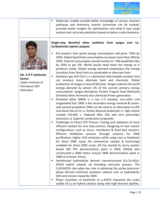Molecular models provide better knowledge of various reaction pathways and chemistry, reactor conversion can be tracked, provides better insights for optimization and what-if case study analysis and accurate prediction based on better crude chemistry.



**Mr. K D P Lakshmee Kumar** Indian Institute of Petroleum (IIP) Dehradun

#### **Single-step dimethyl ether synthesis from syngas over Cu-Zn/Boehmite hybrid catalysts**

- EIA projects that world energy consumption will grow  $\sim$ 50% by 2050. Global liquid fuels consumption increases more than 20% by 2050. Total oil consumption would reaches to ~240 quadrillion Btu by 2050 as per EIA. World would need twice the energy as it produces today. Global energy demand emphasizes the energy transition from fossil fuels to sustainable or alternate fuels
- Synthesis gas (H2+CO) is a substantial intermediate product that can produce many alternate fuels and chemicals. Global production of syngas is around 6Ej/year. Syngas reduces the world energy demand by almost 2% of the current primary energy consumption. Syngas derivatives Fischer-Tropsch fuels Methanol Dimethyl ether Ammonia Oxo chemicals Power generation
- Dimethyl ether (DME) is a non C-C bonded, non-sulfur and oxygenated fuel. DME is the secondary energy material & ozonesafe aerosol propellant. DME can be used as an alternative to LPG and diesel due to its: a. Similar physical properties; b. High cetane number (55-60); c. Reduced NOx, SOx and zero particulate emissions; d. Superior combustion properties
- Challenges to Direct STD Process: Testing and validation of more efficient catalyst for one step process; Designing of new reactor configurations such as slurry, membrane & fixed bed reactors; Efficient distillation process through columns for DME purification; Higher CO2 emissions while using coal as feedstock for direct DME route; No commercial catalyst & technology available for direct DME route; JFE has started its slurry reactor based 100 TPD demonstration plant in 2002; KOGAS also constructed a 3000 metric tons/yr DME demonstration plant in 2004 at Incheon, Korea.
- Synthesized hydrotalcite derived nanostructured (Cu-Zn-Al)/γ-Al2O3 hybrid catalyst via kneading extrusion process. The CuO/Al2O3 ratio plays key role in obtaining the active precursor phase derived methanol synthesis catalyst such as hydrotalcite (Htl) and zincian malachite (ZM)
- Phase transition of boehmite to  $\gamma$ -Al2O3 improved the Lewis acidity of Cu-Zn hybrid catalyst along with high thermal stability.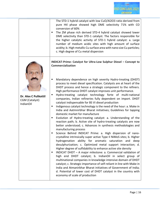|                                                             | The STD-1 hybrid catalyst with low CuO/Al2O3 ratio derived from<br>pure Htl phase showed high DME selectivity 71% with CO<br>conversion of 60%<br>The ZM phase rich derived STD-4 hybrid catalyst showed lower<br>٠<br>DME selectivity than STD-1 catalyst. The factors responsible for<br>the higher catalytic activity of STD-1 hybrid catalyst: a. Large<br>number of medium acidic sites with high amount of surface<br>acidity; b. High metallic Cu surface area with nano size Cu particles;<br>c. High degree of Cu metal dispersion                                                                                                                                                                                                                                                                                                                                                                                                                                                                                                                                                                                                                                                                                                                                                                                                                                                                                                                                                                                                                                                                                                                             |
|-------------------------------------------------------------|-------------------------------------------------------------------------------------------------------------------------------------------------------------------------------------------------------------------------------------------------------------------------------------------------------------------------------------------------------------------------------------------------------------------------------------------------------------------------------------------------------------------------------------------------------------------------------------------------------------------------------------------------------------------------------------------------------------------------------------------------------------------------------------------------------------------------------------------------------------------------------------------------------------------------------------------------------------------------------------------------------------------------------------------------------------------------------------------------------------------------------------------------------------------------------------------------------------------------------------------------------------------------------------------------------------------------------------------------------------------------------------------------------------------------------------------------------------------------------------------------------------------------------------------------------------------------------------------------------------------------------------------------------------------------|
| Dr. Alex C Pulikottil<br>CGM (Catalyst)<br><b>IndianOil</b> | INDICAT-Prime: Catalyst for Ultra-Low Sulphur Diesel - Concept to<br><b>Commercialization</b><br>Mandatory dependence on high severity Hydro-treating (DHDT)<br>п<br>process to meet diesel specification. Catalysts are at heart of the<br>DHDT process and hence a strategic component to the refiners.<br>High performance DHDT catalyst improves unit performance.<br>Hydro-treating catalyst technology forte of multi-national<br>٠<br>companies, Indian refineries fully dependent on import. DHDT<br>catalyst indispensable for BS VI diesel production<br>Indigenous catalyst technology is the need of the hour: a. Make in<br>п<br>India and Aatmnirbhar Bharat initiatives; Guidelines for tapping<br>domestic market for manufacture<br>Evolution of Hydro-treating catalyst: a. Understanding of the<br>п<br>reaction path; b. Active site of hydro-treating catalysts are now<br>better understood; c. Advances in synthesis methodologies and<br>manufacturing process<br>Science Behind INDICAT Prime: a. High dispersion of nano-<br>crystalline intrinsically super active Type II NiMoS sites; b. Higher<br>hydrogenation ability for aromatic saturation and deep<br>desulphurization; c. Optimized metal support interaction; d.<br>Higher degree of sulfidability to enhance active site density<br>INDICAT DHDT - A major milestone: a. Commercial validation of<br>п<br>high end DHDT catalyst; b. IndianOil in select group of<br>multinational companies in knowledge intensive domain of DHDT<br>catalyst; c. Strategic importance of self-reliant in line with Make in<br>India and Atmanirbhar Bharat initiatives of Government of India; |
|                                                             | d. Potential of lower cost of DHDT catalyst in the country with<br>economy of scale of production                                                                                                                                                                                                                                                                                                                                                                                                                                                                                                                                                                                                                                                                                                                                                                                                                                                                                                                                                                                                                                                                                                                                                                                                                                                                                                                                                                                                                                                                                                                                                                       |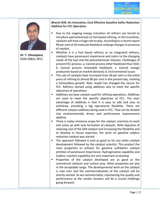



**Dr. T. Chiranjeevi**, DGM (R&D), BPCL

**Bharat-GSR: An innovative, Cost Effective Gasoline Sulfur Reduction Additive for FCC Operation**

- Due to the ongoing energy transition all refiners are forced to introduce petrochemicals to fuel based refining. In this transition, catalysts will have a huge role to play. According to a recent report 90 per cent of all molecule feedstock undergo changes in presence of catalyst.
- Whether it is a fuel based refinery or an integrated refinery, catalysts have paramount importance and caters to the changing needs of the fuel and the petrochemicals industry. Challenges of present FCC process: a. Cannot process other feedstock than VGO; b. Cannot process renewable feedstock; c. Cannot change production based on market demand; d. Environmental issues
- The role of catalysts have increased from 40 per cent in the initial years of refining to almost 80 per cent in the present day, marking a tremendous growth. Riser model has changed the course for FCC. Refiners started using additives also to meet the specific objectives of operations
- Additives are base catalyst used for refining operations. Additives are used to meet the specific objectives of FCC. The clear advantage of additives is that it is easy to add and easy to withdraw, providing a big operational flexibility. There are different catalyst additives being used in FCC. They can be divided into environmentally driven and performance improvement additive
- There is today immense scope for the catalyst scientists to work and come up with new formation of catalysts. With objective of reducing cost of the GSR catalyst and increasing the flexibility and to develop in house expertize, the work on gasoline sulphur reduction catalyst was started
- The approach followed is only as good as for any other catalyst development followed by the catalyst scientist. This product the main properties to achieve for gasoline sulfidation catalyst attrition of paramount importance. Hydrogenation capability and Sulphur reaction capability are very important to develop
- Properties of the catalyst developed are as good as the commercial catalysts and surface area. Other properties are also in the acceptable range. The developmental work on the catalyst is now over and the commercialization of the catalyst will be shortly started. As we commercialize, maintaining the quality and performance at the vendor location will be a crucial challenge going forward.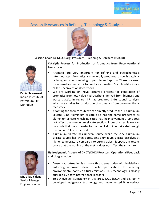## <span id="page-17-0"></span>Session II: Advances in Refining, Technology & Catalysts – II



#### **Session Chair: Dr M.O. Garg, President – Refining & Petchem R&D, RIL**



**Dr. A. Selvamani**  Indian Institute of Petroleum (IIP) Dehradun

**Catalytic Process for Production of Aromatics from Unconventional Feedstocks**

- Aromatic are very important for refining and petrochemicals intermediates. Aromatics are generally produced through catalytic refining and steam refining of petroleum Naphtha. There is a need for alternative feedstock to produce aromatics. Such feedstocks are called unconventional feedstock.
- We are working on novel catalytic process for generation of aromatics from low value hydrocarbons derived from biomass and waste plastic. In regard, IIP has prepared bi-functional catalysts which are studies for production of aromatics from unconventional feedstock.
- Adopting the sodium route we can directly produce the H-Aluminium Silicate. Zinc Aluminium silicate also has the same properties as aluminium silicate, which indicates that the involvement of zinc does not affect the aluminium silicate section. From this result we can conclude that the successful formation of aluminium silicate through the Sodium Silicate method.
- Aluminium silicate has uneven source while the Zinc aluminium silicate source has even pores. Zinc aluminium silicate dissolves at higher temperature compared to strong acids. IR spectrum results prove that the loading of the metals does not affect the structure.



**Hydrodynamic Aspects of DHDT/DHDS Reactors, Operational Feedback and Up-gradation**

Diesel Hydro-treating is a major thrust area today with legislations enforcing improved diesel quality specifications for meeting environmental norms on fuel emissions. This technology is closely guarded by a few international licensors.

**Mr. Vijay Yalaga** Senior Manager Engineers India Ltd

■ To achieve self-sufficiency in this area, IOCL (R&D) and EIL jointly developed indigenous technology and implemented it in various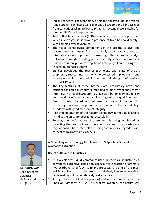| (EIL)                                         | Indian refineries. The technology offers the ability to upgrade middle<br>range straight run distillates, coker gas oil streams and light cycle oil<br>from catalytic cracking to low sulphur, high cetane diesel suitable for<br>meeting ULSD pool requirement.<br>Trickle Bed type Reactors (TBR) are mainly used in such processes<br>Е<br>which involve gas-liquid flow in presence of fixed bed solid catalyst<br>with complex hydrodynamics.<br>The major technological components in this are the catalyst and<br>п<br>reactor internals. Apart from the highly active catalyst, reactor<br>internals are very important for ensuring fullest extent of catalyst<br>utilisation through providing proper hydrodynamics (uniformity of<br>fluid distribution, pressure drop, liquid holdup, gas liquid mixing etc.)<br>in such multiphase systems.<br>EIL has developed the reactor technology with state of-the-art<br>п<br>proprietary reactor internals which were tested in pilot plants and<br>subsequently incorporated in commercial designs of various<br>DHDT/DHDS units.<br>The key features of these internals are: Proprietary novel and<br>п<br>efficient gas-liquid distributors (modified chimney type) and reactor<br>internals; The novel distributor has high distribution element density<br>and functions efficiently over a wide range of gas-liquid flow rates;<br>Reactor design based on in-house hydrodynamic models for<br>predicting pressure drop and liquid holdup; Effective at high<br>turndown with good mechanical integrity.<br>Post implementation of the reactor technology at multiple locations<br>п<br>in India, the units are operating successfully.<br>Further, the performance of these units is being monitored by<br>Е<br>collecting the feedback and operating data and its analysis on a<br>regular basis. These internals are being continuously upgraded with<br>respect to hydrodynamic aspects. |
|-----------------------------------------------|----------------------------------------------------------------------------------------------------------------------------------------------------------------------------------------------------------------------------------------------------------------------------------------------------------------------------------------------------------------------------------------------------------------------------------------------------------------------------------------------------------------------------------------------------------------------------------------------------------------------------------------------------------------------------------------------------------------------------------------------------------------------------------------------------------------------------------------------------------------------------------------------------------------------------------------------------------------------------------------------------------------------------------------------------------------------------------------------------------------------------------------------------------------------------------------------------------------------------------------------------------------------------------------------------------------------------------------------------------------------------------------------------------------------------------------------------------------------------------------------------------------------------------------------------------------------------------------------------------------------------------------------------------------------------------------------------------------------------------------------------------------------------------------------------------------------------------------------------------------------------------------------------------------------------------------------------------|
|                                               | A Novel Plug in Technology for Clean-up of Sulpholane Solvent in<br><b>Aromatics Extraction</b><br>Use of Sulfolane in Industries                                                                                                                                                                                                                                                                                                                                                                                                                                                                                                                                                                                                                                                                                                                                                                                                                                                                                                                                                                                                                                                                                                                                                                                                                                                                                                                                                                                                                                                                                                                                                                                                                                                                                                                                                                                                                        |
| Dr. Satish Vats<br>Lead Research<br>Scientist | It is a colorless liquid commonly used in chemical industry as a<br>Е<br>solvent for extractive distillation, especially in extraction of aromatic<br>hydrocarbons (Shell/UOP sulfolane process). It is one of the most<br>efficient solvents as it operates at a relatively low solvent-to-feed<br>ratio, making sulfolane relatively cost effective.                                                                                                                                                                                                                                                                                                                                                                                                                                                                                                                                                                                                                                                                                                                                                                                                                                                                                                                                                                                                                                                                                                                                                                                                                                                                                                                                                                                                                                                                                                                                                                                                   |
| <b>Reliance Industries</b><br>Ltd (RIL)       | Acid gas treatment (sulfinol process) and was first implemented by<br>п<br>Shell Oil Company in 1964. This process sweetens the natural gas                                                                                                                                                                                                                                                                                                                                                                                                                                                                                                                                                                                                                                                                                                                                                                                                                                                                                                                                                                                                                                                                                                                                                                                                                                                                                                                                                                                                                                                                                                                                                                                                                                                                                                                                                                                                              |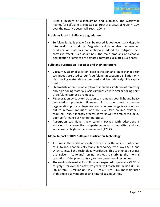using a mixture of alkanolamine and sulfolane. The worldwide market for sulfolane is expected to grow at a CAGR of roughly 1.2% over the next five years, will reach 106 m

#### **Problems faced in Sulfolane degradation**

■ Sulfolane is highly stable & can be reused, it does eventually degrade into acidic by products. Degraded sulfolane also has reaction products of materials conventionally added to mitigate their corrosive effect, such as amines. The main products of oxidative degradation of amines are acetates, formates, oxalates, succinates.

#### **Sulfolane Purification Processes and their limitations**

- Vacuum & steam distillation, back extraction and ion exchange resin techniques are used to purify sulfolane. In vacuum distillation only high boiling materials are removed and has relatively high capital cost.
- Steam distillation is relatively low cost but has limitation of removing only high boiling materials. Acidic impurities with similar boiling point of sulfolane cannot be removed.
- Regeneration by back-ex- traction can removes both light and heavy degradation products. However, it is the most expensive regeneration process. Regeneration by ion exchange is satisfactory, but to remove impurities of trace level two column system is required. Thus, it is costly process. It works well at ambient to 80 0C, poor performance at high temperatures.
- Adsorption technique singly column packed with adsorbent is sufficient to ensure the complete removal of impurities and can works well at high temperature as well (120 C)

#### **Global Impact of RIL's Sulfolane Purification Technology**

- 1st time in the world, adsorption process for the online purification of sulfolane. Economically viable technology with low CAPEX and OPEX to install the technology worldwide. This technology purifies the solvent (sulfolane) online without disturbing the normal operation of the plant contrary to the conventional techniques.
- The worldwide market for sulfolane is expected to grow at a CAGR of roughly 1.2% over the next five years, will reach 106 million USD in 2024, from 100 million USD in 2019, at CAGR of 9.3%. The major user of this magic solvent are oil and natural gas industries.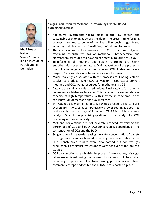



**Mr. B Neelam Naidu** Senior Scientist Indian Institute of Petroleum (IIP) Dehradun

#### **Syngas Production by Methane Tri-reforming Over Ni-Based Supported Catalyst**

- Aggressive investments taking place in the low carbon and sustainable technologies across the globe. The present tri-reforming process is related to some of the key pillars such as gas based economy and cleaner use of fossil fuel, biofuels and Hydrogen
- The chemical route to conversion of CO2 to various polymers reforming through syn gas or methanol. Photochemical and electrochemical routes too have great potential to utilize this CO2
	- Tri-reforming of methane and steam reforming are highly endothermic processes in nature. Main advantage of the process is the utilization of gases such as methane and CO2. It also produces a range of Syn Gas ratio, which can be a source for various
- Major challenges associated with this process are: Finding a stable catalyst to produce higher CO2 conversion; Resources to convert methane and CO2; Point resources for methane and CO2
- Catalyst are mainly Nickle based oxides. Final catalyst formation is dependent on higher surface area. This increases the oxygen storage capacity at high temperatures. With increase in temperature the concentration of methane and CO2 increases
- Syn Gas ratio is maintained at 1.4. For this process three catalysts chosen are: TRM 1, 2, 3. comparatively a lower coating is deposited in the catalyst in the range of 5 per cent. TRM 3 is a high resistance catalyst. One of the promising qualities of this catalyst for CO2 reforming is to raise capacity
- Methane conversions are not severely changed by varying the percentage of CO2 and H2O. CO2 conversion is dependent on the concentration of CO2 and the H2O
- Syngas ratio is increase decreasing the water concentration. A variety of syngas ratios can be obtained by varying the concentration of the CO2. Bench scale studies were also carried out for syn gas production. Here similar Syn-gas ratios were achieved as the lab scale studies.
- CO2 consumption rate is high in the process. Since a variety of syngas ratios are achieved during the process, this syn-gas could be applied in variety of processes. The tri-reforming process has not been commercially reported yet but the KOGAS has reported a plant.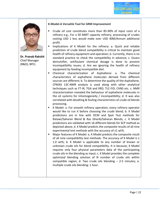



**Dr. Pranab Rakshit** Chief Manager (R&D), BPCL

#### **K-Model-A Versatile Tool for GRM Improvement**

- Crude oil cost constitutes more than 85-90% of input costs of a refinery e.g., For a 50 MMT capacity refinery, processing of crudes costing USD 1 less would make over USD 40M/Annum additional profit.
- Implications of K Model for the refinery: a. Quick and reliable prediction of crude blend compatibility is critical to maintain good health of refinery equipment and operation; b. Currently, there is no standard practice to check the compatibility in advance; c. Excess demulsifier, antifoulant chemical dosage is done to prevent incompatibility issues; d. Are we ignoring the health of refinery equipment by feeding incompatible diet.
- Chemical characterization of Asphaltene: a. The chemical characteristics of asphaltene molecules derived from different sources are different; b. To determine the quality of the Asphaltene, CPMAS 13C-NMR analysis is used along with other analytical techniques such as FT-IR, TGA and XRD, TLC-FID, CHNS etc. c. NMR characterization revealed the behaviour of asphaltene molecules in the oil systems for inhomogeneity / incompatibility; d. It was also correlated with desalting & fouling characteristics of crude oil blends processing.
- K Model: a. For smooth refinery operation, every refinery operator would like to run it before choosing the crude blend; b. K Model predictions are in line with OCM and Spot Test methods for Ratawi/Saharan Blend & Ras Gharib/Saharan Blends; c. K Model predictions are validated with 16 different blends for SCP method as depicted above; d. K Model predicts the composite results of all nine experimental test methods with the accuracy of ±1 wt%.
- Major features of K Model: a. K Model predicts the composite result of all nine compatibility test methods. The accuracy of K Model is  $\pm$ 1.0 wt%; b. K Model is applicable to any number of known or unknown crude oils for blend compatibility. It is because, K Model requires only four physical parameters data of the participating crude oils in the blending as input; c. K Model provides the complete optimized blending solution of N number of crude oils within compatible region; d. Two crude oils blending  $-$  2-5 minutes; e. multiple crude oils blending: 1 hour.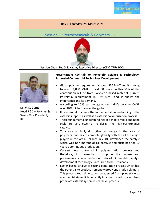#### **Day 2: Thursday, 25, March 2021**

## <span id="page-22-0"></span>Session III: Petrochemicals & Polymers – I



**Session Chair: Dr. G.S. Kapur, Executive Director (CT & TPF), IOCL**



**Dr. V. K. Gupta,**  Head R&D – Polymer & Senior Vice President, RIL

#### **Presentation: Key talk on Polyolefin Science & Technology: Successful Commercial Technology Development**

- Global polymer requirement is about 335 MMT and it is going to reach 1,000 MMT in next 30 years. In this 56% of the contribution will be from Polyolefin based material. Current Polyolefin requirement in 189 MMT and it shows the importance and its demand.
- According to 2035 technology vision, India's polymer CAGR over 10%, highest across the globe.
- It is essential to create the fundamental understanding of the catalyst support, as well as a catalyst polymerization process.
- These fundamental understandings at a macro micro and nano scale are very essential to design the high-performance catalyst.
- To create a highly disruptive technology in the area of polymers, one has to compete globally with the all the major players in this area. Reliance in 2001, developed the catalyst which was non morphological catalyst and sustained for 10 years a continuous production.
- Catalyst gets consumed in polymerization process and therefore, it is essential to improve the process and performance characteristics of catalyst. A suitable catalyst development technology is required to be sustainable.
- Easter based catalyst is second generation process which has the potential to produce homopoly propylene grade polymers. This process took time to get progressed from pilot stage to commercial stage. It is currently in a gas phased process. Non phthalate catalyst system is next level process.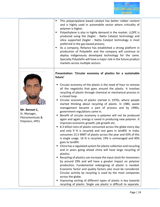|  | This polypropylene based catalyst has better rubber content<br>and is highly used in automobile sector where criticality of<br>polymer is higher.<br>Polyethylene is also in highly demand in the market. LLDPE is<br>produced using the Ziegler - Natta Catalyst technology and<br>silica supported Ziegler - Natta Catalyst technology is most<br>preferred in the gas-based process.<br>As a company, Reliance has established a strong platform in<br>production of Polyolefin and the company will continue to<br>deploy indigenously developed technology for the same.<br>Specialty Polyolefin will have a major role in the future product<br>markets across multiple sectors. |
|--|----------------------------------------------------------------------------------------------------------------------------------------------------------------------------------------------------------------------------------------------------------------------------------------------------------------------------------------------------------------------------------------------------------------------------------------------------------------------------------------------------------------------------------------------------------------------------------------------------------------------------------------------------------------------------------------|
|  |                                                                                                                                                                                                                                                                                                                                                                                                                                                                                                                                                                                                                                                                                        |



**Mr. Bennet C,**  Sr. Manager, Petrochemicals & Polymers, HPCL

**Presentation: 'Circular economy of plastics for a sustainable future'**

- Circular economy of the plastic is the need of hour to remove all the negativity that goes around the plastic. It involves recycling of plastic through chemical or mechanical process in a closed loop.
- Circular economy of plastic started in 1970s, where people started thinking about recycling of plastic. In 1980, waste management became a part of process and by 1990s, government regulations came in.
- Benefit of circular economy is polymer will not be produced again and again; energy is saved in producing new polymer. It improves economic growth, job growth etc.
- 8.3 billion tons of plastic consumed across the globe every day and only 9 % is recycled and rest goes in landfill. In India, consumes 15.5 MMT of plastic across the year and 43% of this is single usage. 16 % is recycled, 19% is unmanaged and 40% goes to landfill.
- China has a regulated system for plastic collection and recycling and in years going ahead china will have large recycling of plastics.
- Recycling of plastics can increase the input stock for monomers by around 29% and will have a greater impact on polymer production. Fundamental redesigning of plastic is needed. Economic factor and quality factors also must be considered. Circular activity by recycling is used by the most companies across the globe.

■ Improving sorting of different types of plastic is key towards recycling of plastic. Single use plastic is difficult to separate.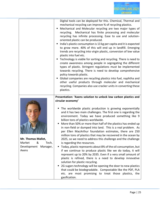|                                                                                | Digital tools can be deployed for this. Chemical, Thermal and<br>mechanical recycling can improve % of recycling plastics.<br>Mechanical and Molecular recycling are two major types of<br>recycling. Mechanical has finite processing and molecular<br>recycling has infinite processing. Ease to use and solution-<br>oriented plastic can be produced.<br>India's plastic consumption is 13 kg per capita and it is expected<br>to grow more. 40% of this will end up in landfill. Emerging<br>trends are recycling into virgin plastic, conversion of low value<br>plastic into fuel etc.<br>■ Technology is viable for sorting and recycling. There is need to<br>create awareness among people in segregating the different<br>types of plastic. Stringent regulations must be implemented<br>towards recycling. There is need to develop comprehensive<br>policy towards plastic.<br>Global companies are recycling plastics into fuel, naphtha and<br>other useful products through molecular and mechanical<br>recycling. Companies also use cracker units in converting these<br>plastics.                                                                                               |
|--------------------------------------------------------------------------------|----------------------------------------------------------------------------------------------------------------------------------------------------------------------------------------------------------------------------------------------------------------------------------------------------------------------------------------------------------------------------------------------------------------------------------------------------------------------------------------------------------------------------------------------------------------------------------------------------------------------------------------------------------------------------------------------------------------------------------------------------------------------------------------------------------------------------------------------------------------------------------------------------------------------------------------------------------------------------------------------------------------------------------------------------------------------------------------------------------------------------------------------------------------------------------------------------|
| Mr. Thomas Mallet,<br>Market<br>&<br>Tech,<br>Development<br>Manager,<br>Axens | Presentation: 'Axens solution to unlock low carbon plastics and<br>circular economy'<br>. The worldwide plastic production is growing exponentially<br>and it has two main challenges. The first one is regarding the<br>environment. Today we have produced something like 9<br>billion tons of plastics worldwide.<br>More than 50% or more than half of the plastics has ended up<br>ш<br>in non-field or dumped into land. This is a real problem. As<br>per Ellen MacArthur foundation estimates, there are 250<br>million tons of plastics that may be recovered in the ocean by<br>2025, so we need to address this challenge and the challenge<br>is regarding the resources.<br>Today, plastic represents about 8% of the oil consumption, but<br>п<br>if we continue to produce plastic like we do today, it will<br>represent up to 20% by 2035. Even if a very small amount of<br>plastic is refined, there is a need to develop innovative<br>solution for plastic recycling.<br>2G sugars technology will be opening the door to new plastics<br>that could be biodegradable. Compostable like the PDF, PLA<br>etc. are most promising to treat those plastics, the<br>gasification. |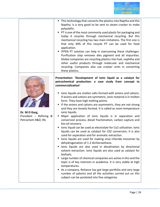

|                                                               | • This technology that converts the plastics into Naptha and this<br>Naptha, is a very good to be sent to steam cracker to make<br>polyolefin.<br>PT is one of the most commonly used plastic for packaging and<br>today it recycles through mechanical recycling. But this<br>mechanical recycling has two main imitations. The first one is<br>that only 30% of this recycle PT can be used for food<br>application.<br>IFPEN PT solution can help in overcoming these challenges.<br>Purification step removes dies pigment and all impurities.<br>Global companies are recycling plastics into fuel, naphtha and<br>other useful products through molecular and mechanical<br>recycling. Companies also use cracker units in converting<br>these plastics.                                                                                                                                                                                                                                                                                                                                                                                                                                                                                                                                                                                                                                                                                          |
|---------------------------------------------------------------|---------------------------------------------------------------------------------------------------------------------------------------------------------------------------------------------------------------------------------------------------------------------------------------------------------------------------------------------------------------------------------------------------------------------------------------------------------------------------------------------------------------------------------------------------------------------------------------------------------------------------------------------------------------------------------------------------------------------------------------------------------------------------------------------------------------------------------------------------------------------------------------------------------------------------------------------------------------------------------------------------------------------------------------------------------------------------------------------------------------------------------------------------------------------------------------------------------------------------------------------------------------------------------------------------------------------------------------------------------------------------------------------------------------------------------------------------------|
| Dr. M O Garg,<br>President - Refining &<br>Petrochem R&D, RIL | Presentation: 'Development of ionic liquid as a catalyst for<br>petrochemical production: a case study from concept to<br>commercialization'<br>Ionic liquids are molten salts formed with anions and cations.<br>Е<br>If anions and cations are symmetric, ionic material is in molten<br>form. They have high melting points.<br>If the anions and cations are asymmetric, they are not strong<br>п<br>and they are loosely formed. It is called as room temperature<br>ionic liquids.<br>Major application of ionic liquids is in separation and<br>п<br>conversion process, diesel fractionation, carbon capture and<br>bio-oil recovery.<br>Ionic liquid can be used as electrolyte for Co2 utilization. Ionic<br>п<br>liquids can be used as catalyst for C02 conversion, it is also<br>used for separation and for aromatic extraction.<br>lonic liquids are used for making vinyl chloride monomer by<br>dehydrogenation of 1-2 dichloroethane.<br>lonic liquids are also used in desalination by directional<br>п<br>solvent extraction. Ionic liquids are also used as catalyst for<br>biofuels.<br>Large number of chemical companies are active in this and the<br>topic is of key interests in academia. It is very stable at high<br>temperatures.<br>As a company, Reliance has got large portfolio and very large<br>п<br>number of patents and all the activities carried out on this<br>subject can be pocketed into five categories. |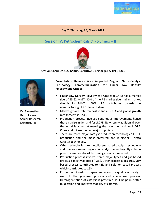#### **Day 2: Thursday, 25, March 2021**

## <span id="page-26-0"></span>Session IV: Petrochemicals & Polymers – II



**Session Chair: Dr. G.S. Kapur, Executive Director (CT & TPF), IOCL**



**Dr. Sangeetha Karthikeyan** Senior Research Scientist, RIL

**Presentation: Reliance Silica Supported Ziegler - Natta Catalyst Technology: Commercialization for Linear Low Density Polyethylene Grades**

- Linear Low Density Polyethylene Grades (LLDPE) has a market size of 45.62 MMT, 30% of the PE market size. Indian market size is 2.4 MMT. 50% LLPE contributes towards the manufacturing of PE film and sheet.
- Market growth rate forecast in India is 8 % and global growth rate forecast is 5.5%.
- Production process involves continuous improvement, hence there is a rise in demand for LLDPE. New supply addition all over the world is aimed at meeting the rising demand for LLDPE. China and US are the two major suppliers.
- There are three major catalyst production technologies LLDPE production and the most preferred one is Ziegler - Natta Catalyst technology.
- Other technologies are metallocene based catalyst technology and phenoxy amine single side catalyst technology. By volume phenoxy amine catalyst technology is most preferred.
- Production process involves three major types and gas-based process is mostly adopted (43%). Other process types are Slurry based process contributes to 42% and solution-based process which contributes to 15%.
- Properties of resin is dependent upon the quality of catalyst used. In the gas-based process and slurry-based process, Heterogenization of catalyst is preferred as it helps in better fluidization and improves stability of catalyst.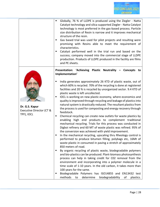|                                                          | Globally, 76 % of LLDPE is produced using the Ziegler - Natta<br>٠<br>Catalyst technology and silica supported Ziegler - Natta Catalyst<br>technology is most preferred in the gas-based process. Particle<br>size distribution of Resin is narrow and it improves mechanical<br>structure of the resin.<br>Gas based trial was used for pilot projects and resulting were<br>promising with Resins able to meet the requirement of<br>characteristics.<br>Catalyst performed well in the trial run and based on the<br>success; company moved into the commercial stage of LLDPE<br>production. Products of LLDPE produced in the facility are films<br>and PE sheets.                                                                                                                                                                                                                                                                                                                                                                                                                                                                                                                                                                                                                                                                                                                                                                                                                                                                                                                                                                                                     |
|----------------------------------------------------------|-----------------------------------------------------------------------------------------------------------------------------------------------------------------------------------------------------------------------------------------------------------------------------------------------------------------------------------------------------------------------------------------------------------------------------------------------------------------------------------------------------------------------------------------------------------------------------------------------------------------------------------------------------------------------------------------------------------------------------------------------------------------------------------------------------------------------------------------------------------------------------------------------------------------------------------------------------------------------------------------------------------------------------------------------------------------------------------------------------------------------------------------------------------------------------------------------------------------------------------------------------------------------------------------------------------------------------------------------------------------------------------------------------------------------------------------------------------------------------------------------------------------------------------------------------------------------------------------------------------------------------------------------------------------------------|
| Dr. G.S. Kapur<br>Executive Director (CT &<br>TPF), IOCL | Presentation: 'Achieving Plastic Neutrality -<br>Concepts to<br>Implementation'<br>India generates approximately 26 KTD of plastic waste, out of<br>which 60% is recycled. 70% of the recycling is done at registered<br>facilities and 20 % is recycled by unorganized sector. 9.4 KTD of<br>plastic waste is left uncollected.<br>IOCL is working on new plastic economy, where economics and<br>quality is improved through recycling and leakage of plastics into<br>natural system is drastically reduced. The resultant plastics from<br>the process is used for composting and energy recovery through<br>feedstock.<br>Chemical recycling can create new outlets for waste plastics by<br>enabling high end products to complement traditional<br>mechanical recycling. Trials for this process was conducted in<br>Digboi refinery and 60 MT of waste plastic was refined. 95% of<br>the conversion was achieved with yield improvement.<br>In the mechanical recycling, upscaling thru Rheology control is<br>performed to produce bitumen filling, polybags etc, 16Mt of<br>waste plastic in consumed in paving a stretch of approximately<br>850 meters of road.<br>By organic recycling of plastic waste, biodegradable polymers<br>п<br>and bio-plastics can be produced. Plant-biomass photosynthesis<br>process can help in taking credit for C02 removal from the<br>environment and incorporating into a polymer molecule in a<br>time scale of 1-10 years. In the old carbon, it takes more than<br>100 years for the same.<br>Biodegradable Polymers has ISO14855 and EN13432 test<br>methods<br>determine<br>biodegradability<br>οf<br>plastics.<br>to |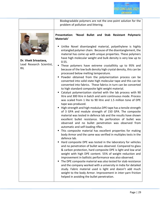

|                                                                 | Biodegradable polymers are not the one-point solution for the<br>problem of pollution and littering.                                                                                                                                                                                                                                                                                                                                                                                                                                                                                                                                                                                                                                                                                                                                                                                                                                                                                                                                                                                                                                                                                                                                                                                                                                                                                                                                                                                                                                                                                                                                                                                                                                                                                                                                                                                                                                                                                                                                                                                                                                                                                           |
|-----------------------------------------------------------------|------------------------------------------------------------------------------------------------------------------------------------------------------------------------------------------------------------------------------------------------------------------------------------------------------------------------------------------------------------------------------------------------------------------------------------------------------------------------------------------------------------------------------------------------------------------------------------------------------------------------------------------------------------------------------------------------------------------------------------------------------------------------------------------------------------------------------------------------------------------------------------------------------------------------------------------------------------------------------------------------------------------------------------------------------------------------------------------------------------------------------------------------------------------------------------------------------------------------------------------------------------------------------------------------------------------------------------------------------------------------------------------------------------------------------------------------------------------------------------------------------------------------------------------------------------------------------------------------------------------------------------------------------------------------------------------------------------------------------------------------------------------------------------------------------------------------------------------------------------------------------------------------------------------------------------------------------------------------------------------------------------------------------------------------------------------------------------------------------------------------------------------------------------------------------------------------|
| Dr. Vivek Srivastava,<br>Lead Research Scientist,<br><b>RIL</b> | 'Novel Bullet and Stab Resistant Polymeric<br><b>Presentation:</b><br>Materials'<br>Unlike Novel disentangled material, polyethylene is highly<br>ш<br>entangled polymer chain. Because of the disentanglement, the<br>material has come up with unique properties. These polymers<br>have high molecular weight and bulk density is very low up to<br>0.55.<br>These polymers have extreme crystallitity up to 95% and<br>п<br>because of the low bulk density high crystal density, this can be<br>processed below melting temperature.<br>" Powder obtained from the polymerization process can be<br>converted into solid state high molecular tape and this can be<br>converted into fabrics. These fabrics in turn can be converted<br>to high standard composite light weight material.<br>Catalyst polymerization started with the lab process with 90<br>п<br>litre and 300 litre in batch and semi continuous mode. Process<br>was scaled from 1 lite to 90 litre and 1.5 million tone of DPE<br>tape was produced.<br>High strength and high modulus DPE tape has a tensile strength<br>п<br>of 3 GPA and module strength of 150 GPA. The composite<br>material was tested in defence lab and the results have shown<br>excellent bullet resistance. No perforation of bullet was<br>observed and no bullet penetration was observed from<br>automatic and self-loading rifles.<br>This composite material has excellent properties for making<br>body Armor and the same was verified in multiples tests in the<br>defence lab.<br>Hard composite DPE was tested in the laboratory for vehicles<br>ш<br>and no penetration of bullet was observed. Compared to glass<br>& carbon protection, hard composite DPE is light and low arial<br>weight with high DPE content. 55% of weight reduction and<br>improvement in ballistic performance was also observed.<br>The DPE composite material was also tested for stab resistance<br>п<br>and the company worked with a university in India for detailed<br>study. Fabric material used is light and doesn't add much<br>weight to the body Armor. Improvement in inter-yarn friction<br>helped in avoiding the bullet penetration. |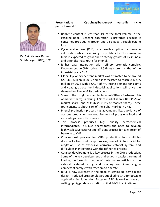

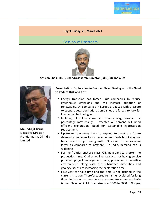## <span id="page-30-0"></span>Session V: Upstream



**Session Chair: Dr. P. Chandrasekaran, Director (E&D), Oil India Ltd**



**Mr. Indrajit Barua,**  Executive Director, Frontier Basin, Oil India Limited

#### **Presentation: Exploration in Frontier Plays: Dealing with the Need to Reduce Risk and Cost**

- Energy transition has forced E&P companies to reduce greenhouse emissions and will increase adoption of renewables. Oil companies in Europe are faced with pressure to support decarbonisation. Companies are forced to look for low carbon technologies.
- In India, oil will be consumed in same way, however the percentage may change. Expected oil demand will need efficient exploration. Need for sustainable hydrocarbon replacement.
- Upstream companies have to expand to meet the future demand, companies focus more on near fields but it may not be sufficient to get new growth. Onshore discoveries were lower as compared to offshore. In India, demand gap is widening.
- For the frontier onshore plays, OIL India aims to shorten the production time. Challenges like logistics, not having service provider, project management issue, protection in sensitive environment, along with the subsurface difficulties and geology issues are increasing the exploration time.
- First year can take time and the time is not justified in the current situation. Therefore, area remain unexplored for long time. India too has unexplored areas and Assam Arakan basin is one. Elevation in Mizoram rise from 1500 to 5000 ft. Gorges,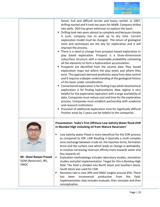|                                                                 | forest, hull and difficult terrain and heavy rainfall. In 2007,<br>drilling started and it took ten years for MWB. Company drilled<br>two wells. DGH has given extension to explore the basin.<br>Drilling took two years almost to complete and because climate<br>is such, company has to wait up to dry time. Current<br>exploration model must be changed. The return of geological<br>tools and techniques are the key for exploration and it will<br>improve the process.<br>There is a need to change from prospect-based exploration to<br>play based exploration. Prospect is a three-dimensional<br>subsurface structure with a reasonable probability containing<br>all the elements to form a hydrocarbon accumulation.<br>Prospects are identified from the seismic data. Play- based<br>exploration maps out where the play exists and where they<br>exist. This approach demand prediction away from data control<br>and it requires a deeper understanding of the geological history<br>of the basin under consideration.<br>Conventional exploration is for finding traps while Geochemical<br>exploration is for finding hydrocarbons. New regime is very<br>helpful for the exploration operation with a large availability of<br>data. Companies must reduce cost and time for the exploration<br>process. Companies must establish partnership with academia<br>and research institutions.<br>Provision of additional exploration time for logistically difficult<br>frontier areas by 2 years can be helpful to the companies |
|-----------------------------------------------------------------|-----------------------------------------------------------------------------------------------------------------------------------------------------------------------------------------------------------------------------------------------------------------------------------------------------------------------------------------------------------------------------------------------------------------------------------------------------------------------------------------------------------------------------------------------------------------------------------------------------------------------------------------------------------------------------------------------------------------------------------------------------------------------------------------------------------------------------------------------------------------------------------------------------------------------------------------------------------------------------------------------------------------------------------------------------------------------------------------------------------------------------------------------------------------------------------------------------------------------------------------------------------------------------------------------------------------------------------------------------------------------------------------------------------------------------------------------------------------------------------------------------------------------------------------------------|
| Mr. Sheel Ranjan Prasad<br>DGM (Reservoir), IRS,<br><b>ONGC</b> | Presentation: 'India's First Offshore Low Salinity Water flood-EOR<br>In Mumbai High Unlocking oil from Mature Reservoirs'<br>Low Salinity water Flood is more beneficial for the EOR process<br>as compared to IOR. LSW flooding in basically a multi-complex<br>ionic exchange between crude oil, the injection brine, formation<br>brine and the surface rock which leads to change in wettability.<br>In involves increasing reservoir affinity more towards water and<br>less towards oil.<br>Evaluation methodology includes laboratory studies, simulation<br>п<br>studies and pilot implementation. Target for this is Bombay High<br>field. The field is divided into North block and Southern block.<br>South block was used for LSW.<br>Recovery rate is now 30% and ONGC targets around 35%. There<br>п<br>incremental<br>production<br>from<br>the<br>field.<br>been<br>has<br>Implementation step includes evaluate, then simulate and then<br>conceptualize.                                                                                                                                                                                                                                                                                                                                                                                                                                                                                                                                                                         |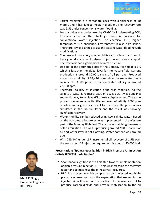

|                                                           | Target reservoir is a carbonate pack with a thickness of 40<br>٠<br>meters and it has light to medium crude oil. The recovery rate<br>was 28% under conventional water flooding.<br>Lot of studies was undertaken by ONGC for implementing EOR,<br>п<br>however some of the challenge faced is pressure for<br>conventional water injection. For chemical EOR, higher<br>temperature is a challenge. Environment is also high saline.<br>Therefore, it was planned to use the existing water flooding with<br>modifications.<br>The reservoir has a very good mobility ratio of less than 1 and it<br>п<br>has a good displacement between injection and reservoir liquid.<br>The reservoir had a good pipeline infrastructure.<br>Decline in the southern block of the Bombay High field is 6%<br>٠<br>which is less than the global level for the mature field. Current<br>production is around 80,00 barrels of oil per day. Produced<br>water has a salinity of 32,470 ppm while the sea water has a<br>salinity of 33,000 ppm. Formation water salinity is around<br>23,000 ppm.<br>Therefore, salinity of injection brine was modified. As the<br>п<br>salinity of water is reduced, extra oil oozes out. It was done in a<br>sequential way to achieve 6% of extra displacement. The same<br>process was repeated with different levels of salinity. 8000 ppm<br>of saline water gives best result for recovery. The process was<br>simulated in the lab simulator and the result was showing<br>significant recovery.<br>Water mobility can be reduced using Low salinity water. Based<br>٠<br>on the outcome, pilot project was implemented in the Western<br>part of the Bombay High field. The test was matching the results<br>of lab simulation. The well is producing around 20,000 barrels of<br>oil and water level is not alarming. Water content was around<br>60%,<br>With 29% PVI under LSF, incremental oil recovery of 1.5% over<br>٠<br>the sea water. LSF injection requirement is about 1,25,000 bpd. |
|-----------------------------------------------------------|--------------------------------------------------------------------------------------------------------------------------------------------------------------------------------------------------------------------------------------------------------------------------------------------------------------------------------------------------------------------------------------------------------------------------------------------------------------------------------------------------------------------------------------------------------------------------------------------------------------------------------------------------------------------------------------------------------------------------------------------------------------------------------------------------------------------------------------------------------------------------------------------------------------------------------------------------------------------------------------------------------------------------------------------------------------------------------------------------------------------------------------------------------------------------------------------------------------------------------------------------------------------------------------------------------------------------------------------------------------------------------------------------------------------------------------------------------------------------------------------------------------------------------------------------------------------------------------------------------------------------------------------------------------------------------------------------------------------------------------------------------------------------------------------------------------------------------------------------------------------------------------------------------------------------------------------------------------------------------------------------------------------------------|
| Mr. S.K. Singh,<br><b>Executive Engineer</b><br>IRS, ONGC | Presentation: 'Spontaneous Ignition in High Pressure Air Injection<br>(HPAI) PROCESS: LAB Studies'<br>Spontaneous ignition is the first step towards implementation<br>ш<br>of high-pressure injection. EOR helps in increasing the recovery<br>factor and to maximise the oil reserves recovered.<br>HPAI is a process in which compressed air is injected into high-<br>pressure oil reservoir with the expectation that oxygen in the<br>injected air will react with a fraction of the reservoir oil to<br>produce carbon dioxide and provide mobilization to the oil                                                                                                                                                                                                                                                                                                                                                                                                                                                                                                                                                                                                                                                                                                                                                                                                                                                                                                                                                                                                                                                                                                                                                                                                                                                                                                                                                                                                                                                      |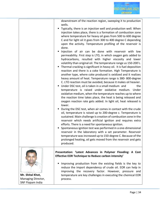| downstream of the reaction region, sweeping it to production                                                                                                                                                                                                                                                                                                                                                                                                                                                                                                                                                                                                                                                                                                                                                                                                                                                                                                                                                                                                                                                                                                                                                                                                                                                                                                                                                                                                                                                                                                                                                                                                                                                                                                                                                                                                                    |
|---------------------------------------------------------------------------------------------------------------------------------------------------------------------------------------------------------------------------------------------------------------------------------------------------------------------------------------------------------------------------------------------------------------------------------------------------------------------------------------------------------------------------------------------------------------------------------------------------------------------------------------------------------------------------------------------------------------------------------------------------------------------------------------------------------------------------------------------------------------------------------------------------------------------------------------------------------------------------------------------------------------------------------------------------------------------------------------------------------------------------------------------------------------------------------------------------------------------------------------------------------------------------------------------------------------------------------------------------------------------------------------------------------------------------------------------------------------------------------------------------------------------------------------------------------------------------------------------------------------------------------------------------------------------------------------------------------------------------------------------------------------------------------------------------------------------------------------------------------------------------------|
| wells.<br>Typically, there is an injection well and production well. When<br>injection takes place, there is a formation of combustion zone<br>where temperature for heavy oil goes from 500 to 600 degree<br>C and for light oil it goes from 300 to 400 degree C depending<br>upon the activity. Temperature profiling of the reservoir is<br>done.<br>Injection of air can be done with reservoir with low<br>permeability. First step is LTO, in which oxygen gets added to<br>hydrocarbons, resulted with higher viscosity and lower<br>volatility than original oil. The temperature range us 150-200'c.<br>Thermal cracking is significant in heavy oil. It is fuel deposition<br>reaction and there is a coke formation. High Temperature is<br>another type, where coke produced is oxidized and it realizes<br>heavy amount of heat. Temperature range is 380-800-degree<br>C. LTO reaction must be avoided, because it makes oil heavier.<br>Under DSC test, oil is taken in a small medium and<br>the<br>temperature is raised under oxidative medium. Under<br>oxidative medium, when the temperature reaches up to where<br>the reaction time takes place, the heat is being released and<br>oxygen reaction rate gets added. In light oil, heat released is<br>lower.<br>During the DSC test, when air comes in contact with the crude<br>oil, temperature is raised up to 200-degree c. Temperature is<br>sustained. Main challenge is creation of combustion zone in the<br>reservoir which needs artificial ignition and requires extra<br>efforts. There is a need for spontaneous ignition.<br>Spontaneous ignition test was performed in a one-dimensional<br>reservoir in the laboratory with a set parameter. Reservoir<br>temperature was increased up to 150-degree C. Because of the<br>prolonged heating, oil gets moved from the reservoir and gets |
| produced.                                                                                                                                                                                                                                                                                                                                                                                                                                                                                                                                                                                                                                                                                                                                                                                                                                                                                                                                                                                                                                                                                                                                                                                                                                                                                                                                                                                                                                                                                                                                                                                                                                                                                                                                                                                                                                                                       |
| Presentation: 'Latest Advances in Polymer Flooding: A Cost<br>Effective EOR Technique to Reduce carbon intensity'<br>Improving production from the existing fields is the key to<br>reduce the import dependency of crude oil. EOR can help in<br>improving the recovery factor. However, pressure and<br>temperature are key challenges in executing the chemical EOR<br>process.                                                                                                                                                                                                                                                                                                                                                                                                                                                                                                                                                                                                                                                                                                                                                                                                                                                                                                                                                                                                                                                                                                                                                                                                                                                                                                                                                                                                                                                                                              |
|                                                                                                                                                                                                                                                                                                                                                                                                                                                                                                                                                                                                                                                                                                                                                                                                                                                                                                                                                                                                                                                                                                                                                                                                                                                                                                                                                                                                                                                                                                                                                                                                                                                                                                                                                                                                                                                                                 |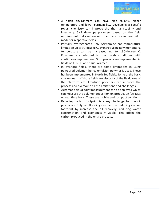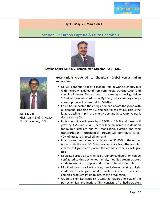## <span id="page-35-0"></span>Session VI: Carbon Capture & Oil to Chemicals



**Session Chair: Dr. S.S.V. Ramakumar, Director (R&D), IOCL**



**Dr. S K Das** GM (Light End & Heavy End Processes), IOCL

#### **Presentation: Crude Oil to Chemicals- Global versus Indian Imperatives**

- Oil will continue to play a leading role in world's energy mix with the growing demand from commercial transportation and chemical industry. Share of coal in the energy mix will go below 20% due to emission reduction. By 2040, India's primary energy consumption will be around 1,924 Mtoe.
- Covid has impacted the energy demand across the globe with oil demand dropping by 8 % and natural gas by 4%. This is the largest decline in primary energy demand in seventy years, it decreased by 6%.
- India's gasoline will grow by a CAGR of 5.6 % and diesel will grow by 3.7% until 2045. There will be an increase in demand for middle distillate due to urbanization, aviation and road transportation. Petrochemical growth will contribute to 35- 40% of increase in total oil demand
- In a conventional refinery configuration, 90-95% of the output is fuel while the rest 5-10% in the chemicals. Naphtha complex cracker will give olefins, while the aromatic complex will give BTX.
- Dedicated crude oil to chemicals refinery configuration can be configured to three schemes namely, modified steam cracker, crude to aromatic complex and crude to chemical complex.
- Modified steam cracker involves, direct steam cracking of light crude oil which gives 40-45\$ olefins. Crude to aromatic complex produces PX up to 40% of the production.

■ Crude to chemical complex is targeted towards 70-80% of the petrochemical production. This consists of a hydrocracker,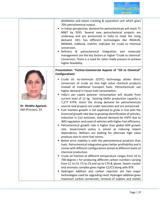|                     | distillation and steam cracking & separation unit which gives      |
|---------------------|--------------------------------------------------------------------|
|                     | 70% petrochemical output.                                          |
|                     | In Indian perspective, demand for petrochemicals will reach 71     |
|                     | MMT by 2035. Several new petrochemical projects are                |
|                     | underway and are announced in India to meet the rising             |
|                     | demand. IOCL has different technologies like INDALIN,              |
|                     | INDMAX, indResid, indLPet, IndCoker for crude to chemical          |
|                     | conversion.                                                        |
|                     | Refinery &<br>petrochemical integration and<br>molecular           |
|                     | management are the key factors or higher 'Crude to chemical'       |
|                     | conversion. There is a need for tailor-made process to achieve     |
|                     | higher feasibility.                                                |
|                     |                                                                    |
|                     | Presentation: 'Techno-Commercial Aspects of "Oil to Chemical"      |
|                     | Configurations'                                                    |
|                     | " Crude oil -to-chemicals (COTC) technology allows direct          |
|                     | conversion of crude oil into high value chemical products          |
|                     | instead of traditional transport fuels. Petrochemicals see         |
|                     | higher demand in house hold consumption.                           |
|                     | India's per capita polymer consumption will double from            |
|                     | current level of 12 kg. Existing Olefin production capacity is     |
|                     | 7,277 KTPA. Given the strong demand for petrochemicals             |
| Dr. Shobha Agarwal, | several new projects are under execution and are announced.        |
| GM (Process), EIL   |                                                                    |
|                     | Fuel markets growth is not expected to grow in line with the       |
|                     | historical growth rate due to growing electrification of vehicles, |
|                     | reduction in Co2 emission, reduced demand for HSFO due to          |
|                     | IMO regulation and need of vehicles with higher fuel efficiency.   |
|                     | Petrochemical growth rate is higher than global GDP growth         |
|                     | rate. Government policy is aimed at reducing import                |
|                     | dependency. Refiners are looking for alternate high value          |
|                     | products due to strict fuel norms.                                 |
|                     | Better price stability is with the petrochemical products than     |
|                     | fuels. Petrochemical integration gives better profitability and it |
|                     | comes with different configurations aimed at different levels of   |
|                     | chemical production.                                               |
|                     | Crude oil fraction at different temperature ranges from 16 to      |
|                     | 700-degree c for producing different carbon numbers varying        |
|                     | from C1 to C4, C5 to C9 and up to C70 & above. Steam cracker       |
|                     | and aromatic complex gives higher C2/C3 along with BTX.            |
|                     | Hydrogen addition and carbon rejection are two major               |
|                     | technologies used for upgrading resid. Hydrogen addition gives     |
|                     | maximum carbon conversion, removal of sulphur and metals           |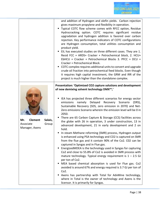|                                                                          | and addition of Hydrogen and olefin yields. Carbon rejection<br>gives maximum propylene and flexibility in operation.<br>Typical COTC flow scheme comes with RFCC option, Residue<br>Hydrocracking option. COTC requires significant residue<br>upgradation and hydrogen addition is favored over carbon<br>rejection. Key performance indicators of COTC configurations<br>are Hydrogen consumption, total utilities consumption and<br>product yield.<br>EIL has executed studies on three different cases. They are 1.<br>Resid FCC + ARDS+ Cracker + Petrochemical block, 2. HCU+<br>EbHCU + Cracker + Petrochemical Blocks 3. PFCC + DCU +<br>Cracker + Petrochemical Block.<br>COTC complex requires additional units to convert and upgrade<br>crude oil fraction into petrochemical feed blocks. Even though<br>it requires high capital investment, the GRM and IRR of the<br>project is much higher than the standalone complex.                                                                                                                                                                                                                                                                                                                                                                                                                    |
|--------------------------------------------------------------------------|---------------------------------------------------------------------------------------------------------------------------------------------------------------------------------------------------------------------------------------------------------------------------------------------------------------------------------------------------------------------------------------------------------------------------------------------------------------------------------------------------------------------------------------------------------------------------------------------------------------------------------------------------------------------------------------------------------------------------------------------------------------------------------------------------------------------------------------------------------------------------------------------------------------------------------------------------------------------------------------------------------------------------------------------------------------------------------------------------------------------------------------------------------------------------------------------------------------------------------------------------------------------------------------------------------------------------------------------------------------|
| Salais,<br><b>Clement</b><br>Mr.<br>Associate<br>Group<br>Manager, Axens | Presentation: 'Optimized CO2 capture solutions and development<br>of new demixing solvent technology DMX™,'<br>IEA has projected three different scenarios for energy sector<br>namely Delayed Recovery Scenario<br>emissions<br>$(DRS)$ ,<br>Sustainable Recovery (SDS, zero emission in 2070) and Net-<br>Zero emissions Scenario wherein the emission level will be 0 in<br>2050.<br>There are 65 Carbon Capture & Storage (CCS) facilities across<br>the globe with 26 in operation, 3 under construction, 13 in<br>advanced development, 21 in early development and 2 on<br>hold.<br>In steam Methane reforming (SMR) process, Hydrogen output<br>is enhanced using PSA technology and CO2 is captured on SMR<br>from the flue gas and it contain 90% of the Co2. CO2 can be<br>captured in Syngas and in Flue gas.<br>EnergizedMDEA is the technology used in Syngas for capturing<br>Co2 and close to 55.8% of Co2 is avoided in SMR process with<br>mature technology. Typical energy requirement is $1 - 2.5$ GJ<br>per ton of Co2.<br>MEA based chemical absorption is used for Flue gas. Co2<br>п<br>avoided is around 67% and energy required is 3.7 GJ per ton of<br>$Co2$ .<br>Axens has partnership with Total for AdvMine technology,<br>where in Total is the owner of technology and Axens is the<br>licensor. It is primarily for Syngas. |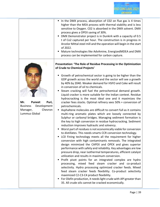

|                                                                                                         | In the DMX process, absorption of C02 on flue gas is 4 times<br>higher than the MEA process with thermal stability and is less<br>sensitive to Oxygen. C02 is absorbed in the DMX solvent. DMX<br>process gives a OPEX saving of 30%.<br>DMX Demonstrator project is in Dunkirk with a capacity of 0.5<br>t of Co2 captured per hour. The construction is in progress in<br>Arcelor Mittal steel mill and the operation will begin in the start<br>of 2022.<br>Mature technologies like AdvAmine, EnergizedMDEA and DMX<br>п<br>process can be implemented for carbon capture.                                                                                                                                                                                                                                                                                                                                                                                                                                                                                                                                                                                                                                                                                                                                                                                                                                                                                                                                                                                                                                                                                                                                                                                                                                                                                                              |
|---------------------------------------------------------------------------------------------------------|---------------------------------------------------------------------------------------------------------------------------------------------------------------------------------------------------------------------------------------------------------------------------------------------------------------------------------------------------------------------------------------------------------------------------------------------------------------------------------------------------------------------------------------------------------------------------------------------------------------------------------------------------------------------------------------------------------------------------------------------------------------------------------------------------------------------------------------------------------------------------------------------------------------------------------------------------------------------------------------------------------------------------------------------------------------------------------------------------------------------------------------------------------------------------------------------------------------------------------------------------------------------------------------------------------------------------------------------------------------------------------------------------------------------------------------------------------------------------------------------------------------------------------------------------------------------------------------------------------------------------------------------------------------------------------------------------------------------------------------------------------------------------------------------------------------------------------------------------------------------------------------------|
| Mr.<br><b>Puneet</b><br>Puri,<br><b>Business</b><br>Development<br>Manager,<br>Chevron<br>Lummus Global | Presentation: 'The Role of Residue Processing in the Optimization<br>of Crude to Chemical Projects'<br>Growth of petrochemical sector is going to be higher than the<br>GDP growth across the world and the sector will see a growth<br>by 40% by 2040. Weaker demand for HSFO and Coke will result<br>in conversion of oil to chemicals.<br>Steam cracking will fuel the petrochemical demand growth.<br>ш<br>Liquid cracker is more suitable for the Indian context. Residue<br>hydrocracking is the most ideal one and it maximizes the<br>cracker fees stocks. Optimal refinery sees 50% + conversion of<br>petrochemicals.<br>Asphaltene molecules are difficult to convert full as it contains<br>multi-ring aromatic plates which are loosely connected by<br>Sulphur or carbonyl bridges. Managing sediment formation is<br>the key to high conversion in residue hydrocracking. Sediment<br>reduction improves hydraulic and solvency.<br>Worst part of residues is not economically viable for conversion<br>to distillates. This needs smarts CCR conversion technology.<br>LCO Fining technology meets all the requirement for higher<br>conversion with high contaminants removals. The integrated<br>design minimized the CAPEX and OPEX and gives superior<br>performance with safety and reliability. Key advantages are low<br>pressure drop, near isothermal temperatures, efficient catalyst<br>utilization and results in maximum conversion.<br>Profit pivot points for an integrated complex are hydro<br>processing, mixed feed steam cracker and co-product<br>selectivity. Hydro processing optimized cracker feeds. Mixed<br>feed steam cracker feeds flexibility. Co-product selectivity<br>maximized C2-C3-C4 product flexibility.<br>" For Olefin production, it needs light crude with API greater than<br>35. All crude oils cannot be cracked economically. |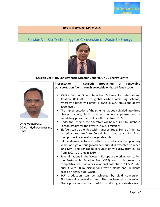## <span id="page-39-0"></span>Session VII: Bio-Technology for Conversion of Waste to Energy



#### **Session Chair: Dr. Sanjeev Katti, Director General, ONGC Energy Centre**



**Dr. G Valavarasu,**  DGM, Hydroprocessing, HPCL

**Presentation: - Catalytic production of renewable transportation fuels through vegetable oil-based feed stocks**

- ICAO's Carbon Offset Reduction Scheme for International Aviation (CORSIA) is a global carbon offsetting scheme, whereby airlines will offset growth in CO2 emissions above 2020 levels.
- The implementation of the scheme has been divided into three phases namely, initial phases, voluntary phases and a mandatory phase that will be effective from 2027.
- Under the scheme, the operators will be required to Purchase Carbon credits for the growth in CO2 emissions.
- Biofuels can be blended with transport fuels. Some of the raw materials used are Corn, Cereal, Sugars, waste and fats from food producing as well as vegetable oils.
- Jet fuel demand in forecasted to rise in India over the upcoming years. At high output growth scenario, it is expected to reach 10.1 MMT and per capita consumption will grow from 2.4 kg from 2003 to 7.1 Kg in 2030.
- Several nations in the Western Europe are working on scaling the Sustainable Aviation Fuel (SAF) and to improve the competitiveness. India has an annual potential of 11 MMT SAF output with 30 municipal solid waste plants and 80 plants based on agricultural waste
- SAF production can be achieved by Lipid conversion, Biochemical conversion and Thermochemical conversion. These processes can be used for producing sustainable road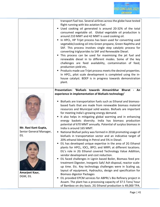|                                                        | transport fuel too. Several airlines across the globe have tested<br>flight running with bio aviation fuel.<br>Used cooking oil generated is around 20-32% of the total<br>consumed vegetable oil. Global vegetable oil production is<br>around 210 MMT and 42 MMT is used cooking oil.<br>In HPCL, HP Trijet process has been used for converting used<br>vegetable/cooking oil into Green propane, Green Naphtha and<br>SAF. This process involves single step catalytic process for<br>converting triglycerides to SAF and Renewable Diesel.<br>This process can be used for maximising the jet fuel and<br>renewable diesel in to different modes. Some of the key<br>challenges are feed availability, contamination of feed,<br>production yield etc,<br>Products made use Trijet process meets the desired properties.<br>In HPCL, pilot scale development is completed using the in-<br>house catalyst. BDEP is in progress towards demonstration<br>plant. |
|--------------------------------------------------------|---------------------------------------------------------------------------------------------------------------------------------------------------------------------------------------------------------------------------------------------------------------------------------------------------------------------------------------------------------------------------------------------------------------------------------------------------------------------------------------------------------------------------------------------------------------------------------------------------------------------------------------------------------------------------------------------------------------------------------------------------------------------------------------------------------------------------------------------------------------------------------------------------------------------------------------------------------------------|
|                                                        | Presentation: 'Biofuels towards Atmanirbhar Bharat - An<br>experience in implementation of Biofuels technology'                                                                                                                                                                                                                                                                                                                                                                                                                                                                                                                                                                                                                                                                                                                                                                                                                                                     |
|                                                        | Biofuels are transportation fuels such as Ethanal and biomass-<br>based fuels that are made from renewable biomass material<br>resources and Municipal solid wastes. Biofuels are important<br>for meeting India's growing energy demand.<br>It also helps in mitigating global warming and in enhancing<br>energy baskets diversity. India has biomass production<br>potential of 670 MMT annually. Potential of surplus biomass in                                                                                                                                                                                                                                                                                                                                                                                                                                                                                                                                |
| Mr. Ravi Kant Gupta,<br>Senior General Manager,<br>EIL | India is around 165 MMT.<br>National Biofuel policy was formed in 2018 promoting usage of<br>biofuels in transportation sector and an indicative target of<br>20% ethanol blending in Petrol and 5% in Diesel.                                                                                                                                                                                                                                                                                                                                                                                                                                                                                                                                                                                                                                                                                                                                                      |
|                                                        | EIL has developed unique expertise in the area of 2G Ethanol<br>plants for HPCL, IOCL, BPCL and MRPL at different locations.<br>EIL's role in 2G Ethanol covered Technology Value Addition,<br>vendor development and cost reduction.<br>EIL faced challenges in Lignin based Boiler, Biomass feed pre-<br>п<br>treatment Digester, Inorganic Salt/Ash disposal, reactor scale-<br>up time. Etc. Key technology challenges were in Scaling up,                                                                                                                                                                                                                                                                                                                                                                                                                                                                                                                      |
| Amarjeet Kaur,<br>DGM, EIL                             | layout of equipment, Hydraulics, design and specification for<br><b>Biomass digestor Packages</b><br>EIL provided EPCM services for ABPRL's Bio Refinery project in<br>Assam. The plant has a processing capacity of 37.5 Tons/hour<br>of Bamboo on dry basis. 2G Ethanol production is 49,000 TPA.                                                                                                                                                                                                                                                                                                                                                                                                                                                                                                                                                                                                                                                                 |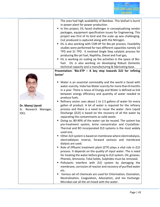|                       | The area had high availability of Bamboo. This biofuel is burnt      |
|-----------------------|----------------------------------------------------------------------|
|                       | in power plant for power production.                                 |
|                       | In this project, EIL faced challenges in conceptualising vendor      |
|                       | packages, equipment specification issues for Engineering. This       |
|                       | project was first of its kind and the scale up was challenging.      |
|                       | Co2 produced is captured along with the Nitrogen.                    |
|                       | ■ EIL is also working with CSIR-IIP for Bio-jet process. Feasibility |
|                       | studies were performed for two different capacities namely 10        |
|                       | TPD and 31 TPD. It involved Single Step catalytic process for        |
|                       | producing Bio-jet fuel, Naphtha, Diesel and Fuel gas,                |
|                       | ■ EIL is working on scaling up the activities in the space of Bio-   |
|                       | fuel. EIL is also working on developing Robust Domestic              |
|                       | technical capacity and a manufacturing & fabricating base.           |
|                       | Presentation: 'Bio-ETP - A key step towards ZLD for refining         |
|                       | Sector'                                                              |
|                       |                                                                      |
|                       | Water is an essential commodity and the world is faced with          |
|                       | water scarcity. India has Water scarcity for more than 8 months      |
|                       | in a year. There is nexus of Energy and Water is defined as link     |
|                       | between energy efficiency and quantity of water needed to            |
|                       | produce fuels.                                                       |
|                       | Refinery sector uses about 1 to 2.5 gallons of water for every       |
| Dr. Manoj Upreti      | gallon of product. A lot of water is required for the refinery       |
| Sr. Research Manager, | process and there is a need to reuse the water. Zero Liquid          |
| <b>IOCL</b>           | Discharge (ZLD) is based on the recovery of all the water by         |
|                       | separating the contaminants as solid waste.                          |
|                       | Doing so, 80-90% of the water can be reused. The system has          |
|                       | pre-treatment system, brine concentrator and Crystallizer.           |
|                       | Thermal and RO incorporated ZLD systems is the most widely           |
|                       | used one.                                                            |
|                       | Other ZLD system is based on membrane where electrodialysis,         |
|                       | electrodialysis reverse, forward osmosis and membrane                |
|                       | dialysis are used.                                                   |
|                       | Role of Effluent treatment plant (ETP) plays a vital role in ZLD     |
|                       | process. It depends on the quality of input water. The is need       |
|                       | for treating the water before giving to ZLD system. Oil, greases,    |
|                       | Phenols, Ammonia, Total Solids, Sulphides must be removed.           |
|                       | Pollutants interfere with ZLD system by damaging the<br>ш            |
|                       | membrane, corrosion of reactor and recovery of purified water        |
|                       | etc.                                                                 |
|                       | Various set of chemicals are used for Chlorination, Ozonation,       |
|                       | Neutralization, Coagulation, Adsorption, and Ion Exchange.           |
|                       | Microbes eat all the oil mixed with the water.                       |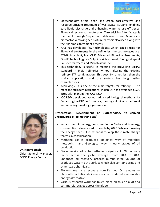|                                                                        | " Biotechnology offers clean and green cost-effective and<br>resource efficient treatment of wastewater streams, enabling<br>zero liquid discharge and enhancing water re-use efficiency.<br>Biological section has an Aeration Tank trickling filter. Water is<br>then sent through Sequential batch reactor and Membrane<br>bioreactor. A moving bed biofilm reactor is also used along with<br>the Anaerobic treatment process.<br>IOCL has developed few technologies which can be used for<br>ш<br>Biological treatments in the refineries, the technologies are,<br>ETP-Bioinoculant, Los MLSS Advanced Biological Treatments,<br>Bio-SR Technology for Sulphide rich effluent, Biological spent<br>Caustic treatment and Microbial fuel cell.<br>This technology is useful in meeting the prevailing MINAS<br>standard in India refineries without altering the existing<br>refinery ETP configuration. This cost 3-4 times less than the<br>similar application and the system has long<br>lasting<br>characteristics.<br>Achieving ZLD is one of the main targets for refinery ETP to<br>meet the stringent regulations. Indian Oil has developed a 500<br>litres pilot plant in the IOCL R&D.<br>IOC R&D developed various advanced biological methods for |
|------------------------------------------------------------------------|----------------------------------------------------------------------------------------------------------------------------------------------------------------------------------------------------------------------------------------------------------------------------------------------------------------------------------------------------------------------------------------------------------------------------------------------------------------------------------------------------------------------------------------------------------------------------------------------------------------------------------------------------------------------------------------------------------------------------------------------------------------------------------------------------------------------------------------------------------------------------------------------------------------------------------------------------------------------------------------------------------------------------------------------------------------------------------------------------------------------------------------------------------------------------------------------------------------------------------------------------------------------|
|                                                                        | Enhancing the ETP performance, treating sulphide rich effluent<br>and reducing bio-sludge generation.<br>Presentation: 'Development of<br>Biotechnology<br>to<br>convert<br>unrecovered oil to methane gas'<br>India is the third energy consumer in the Globe and its energy<br>ш<br>consumption is forecasted to double by 2040. While addressing<br>the energy needs, it is essential to keep the climate change<br>threats in consideration.<br>Methane gas is produced Biological way of microbial<br>metabolism and Geological way in early stages of oil                                                                                                                                                                                                                                                                                                                                                                                                                                                                                                                                                                                                                                                                                                      |
| Dr. Nimmi Singh<br>Chief General Manager,<br><b>ONGC Energy Centre</b> | production.<br>Bioconversion of oil to methane is significant. Oil recovery<br>ш<br>factor across the globe averages from 20% to 40%.<br>Enhanced oil recovery process pumps large volume of<br>produced water to the surface which also contains brine and<br>other toxic chemicals.<br>Biogenic methane recovery from Residual Oil remains in-<br>place after additional oil recovery is considered a renewable<br>energy alternative.<br>Various research work has taken place on this on pilot and<br>commercial stages across the globe.                                                                                                                                                                                                                                                                                                                                                                                                                                                                                                                                                                                                                                                                                                                        |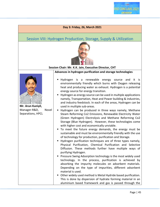<span id="page-44-0"></span>

|                                                                                                                           | Day 3: Friday, 26, March 2021                                                                                                                                                                                                                                                                                                                                                                                                                                                                                                                                                                                                                                                                                                                                                                                                                                                                                                                                                                                                                                                                                                                                                                                                                                                                                                                                                                                                                                                                                                                                                                                                                                                                                          |  |
|---------------------------------------------------------------------------------------------------------------------------|------------------------------------------------------------------------------------------------------------------------------------------------------------------------------------------------------------------------------------------------------------------------------------------------------------------------------------------------------------------------------------------------------------------------------------------------------------------------------------------------------------------------------------------------------------------------------------------------------------------------------------------------------------------------------------------------------------------------------------------------------------------------------------------------------------------------------------------------------------------------------------------------------------------------------------------------------------------------------------------------------------------------------------------------------------------------------------------------------------------------------------------------------------------------------------------------------------------------------------------------------------------------------------------------------------------------------------------------------------------------------------------------------------------------------------------------------------------------------------------------------------------------------------------------------------------------------------------------------------------------------------------------------------------------------------------------------------------------|--|
|                                                                                                                           |                                                                                                                                                                                                                                                                                                                                                                                                                                                                                                                                                                                                                                                                                                                                                                                                                                                                                                                                                                                                                                                                                                                                                                                                                                                                                                                                                                                                                                                                                                                                                                                                                                                                                                                        |  |
| Session VIII: Hydrogen Production, Storage, Supply & Utilization<br>Session Chair: Mr. K.K. Jain, Executive Director, CHT |                                                                                                                                                                                                                                                                                                                                                                                                                                                                                                                                                                                                                                                                                                                                                                                                                                                                                                                                                                                                                                                                                                                                                                                                                                                                                                                                                                                                                                                                                                                                                                                                                                                                                                                        |  |
| Mr. Arun Kuniyil,<br>Manager-R&D,<br>Novel<br>Separations, HPCL                                                           | Advances in hydrogen purification and storage technologies<br>Hydrogen is a renewable energy source<br>and<br>it<br>is<br>environmentally friendly which burns with Oxygen releasing<br>heat and producing water as exhaust. Hydrogen is a potential<br>energy source for energy transition.<br>Hydrogen as energy source can be used in multiple applications<br>ш<br>namely, Transportation, Heat and Power building & industries,<br>and industry feedstock. In each of the areas, Hydrogen can be<br>used in multiple sub-areas.<br>Hydrogen can be produced in three ways namely, Methane<br>п<br>Steam Reforming Co2 Emissions, Renewable Electricity Water<br>(Green Hydrogen) Electrolysis and Methane Reforming Co2<br>Storage (Blue Hydrogen). However, these technologies come<br>with higher cost and economically unviable.<br>To meet the future energy demands, the energy must be<br>п<br>sustainable and must be environmentally friendly with the use<br>of technology for production, purification and Storage.<br>Hydrogen purification techniques are of three types namely,<br>Physical Purification, Chemical Purification and Selective<br>Diffusion. These methods further have multiple ways of<br>purifying Hydrogen.<br>Pressure Swing Adsorption technology is the most widely used<br>technology. In the process, purification is achieved by<br>absorbing the impurity molecules on adsorbent materials.<br>Depending on the type of impurities, different adsorbent<br>material is used.<br>• Other widely used method is Metal Hydride based purification.<br>This is done by dispersion of hydrate forming material in an<br>aluminium based framework and gas is passed through the |  |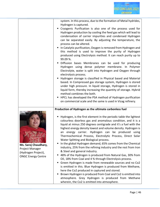|                                                                                             | system. In this process, due to the formation of Metal hydrides,<br>Hydrogen is captured.<br>" Cryogenic Purification is also one of the process used for<br>Hydrogen production by cooling the feed gas which will lead to<br>condensation of carrier impurities and condensed Hydrogen<br>can be separated easily. By adjusting the temperature, the<br>process can be altered.<br>In Catalytic purification, Oxygen is removed from Hydrogen and<br>this method is used to improve the purity of Hydrogen<br>produced using Electrolysis method. It can reach purity up to<br>99.09 %.<br>Diffusion bases Membranes can be used for producing<br>Hydrogen using dense polymer membrane. In Polymer<br>Electrolyte, water is split into Hydrogen and Oxygen through<br>electrolysis process.<br>Hydrogen storage is classified in Physical based and Material<br>based. In Compressed gas storage system, Hydrogen is stored<br>under high pressure. In liquid storage, Hydrogen is stored in<br>liquid form, thereby increasing the quantity of storage. Hybrid<br>method combines the both.<br>HPCL has developed the PSA method of Hydrogen purification<br>on commercial scale and the same is used in Vizag refinery. |
|---------------------------------------------------------------------------------------------|------------------------------------------------------------------------------------------------------------------------------------------------------------------------------------------------------------------------------------------------------------------------------------------------------------------------------------------------------------------------------------------------------------------------------------------------------------------------------------------------------------------------------------------------------------------------------------------------------------------------------------------------------------------------------------------------------------------------------------------------------------------------------------------------------------------------------------------------------------------------------------------------------------------------------------------------------------------------------------------------------------------------------------------------------------------------------------------------------------------------------------------------------------------------------------------------------------------------------|
| Ms. Saroj Chaudhary,<br>Project Manager<br>(Hydrogen Project),<br><b>ONGC Energy Centre</b> | Production of Hydrogen as the ultimate carbonless fuel<br>Hydrogen, is the first element in the periodic table the lightest<br>colourless doorless gas and anomalous condition, and it is a<br>liquid at minus 250 degrees centigrade and it's a fuel with the<br>highest energy density lowest and volume density. Hydrogen is<br>an energy carrier. Hydrogen can be produced using<br>Thermochemical Process, Electrolytic Process, Direct Solar<br>Water Splitting and Biological process.<br>In the global Hydrogen demand, 65% comes from the Chemical<br>industry, 25% from the refining industry and the rest from Iron<br>& Steel and general industry.<br>48% of the Hydrogen is produced from Natural Gas, 30% from<br>Oil, 18% from Coal and 4 % through Electrolysis process.<br>Green Hydrogen is made from renewable sources and no Co2<br>is emitted in this. Blue Hydrogen is produced from Methane,<br>here the Co2 produced in captured and stored.<br>Brown Hydrogen is produced from Coal and Co2 is emitted into<br>atmosphere. Grey Hydrogen is produced from Methane<br>wherein, the Co2 is emitted into atmosphere.                                                                                  |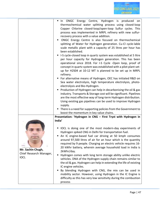|                                                             | In ONGC Energy Centre, Hydrogen is produced on<br>thermochemical water splitting process using closed-loop<br>Copper Chlorine closed-loop/open-loop Sulfur cycles. This<br>process was implemented in MRPL refinery with new sulfur-<br>recovery process with a value addition.<br>ONGC Energy Centre is also focused on thermochemical<br>splitting of Water for Hydrogen generation. Cu-Cl cycle-lable<br>scale metallic plant with a capacity of 25 litres per hour has<br>been established.<br>I-S cycle-closed loop in quartz system was established at 5 litre<br>per hour capacity for Hydrogen generation. This has been<br>operational since 2018. For I-S Cycle -Open loop, proof of<br>concept in quartz system was established with a pilot plant set-<br>up for H2S04 at 10-12 MT is planned to be set up in MRPL<br>refinery.<br>For alternative means of Hydrogen, OEC has initiated R&D on |
|-------------------------------------------------------------|------------------------------------------------------------------------------------------------------------------------------------------------------------------------------------------------------------------------------------------------------------------------------------------------------------------------------------------------------------------------------------------------------------------------------------------------------------------------------------------------------------------------------------------------------------------------------------------------------------------------------------------------------------------------------------------------------------------------------------------------------------------------------------------------------------------------------------------------------------------------------------------------------------|
|                                                             | Sea water electrolysis, high temperature electrolysis, photo-<br>electrolysis and Bio-Hydrogen.<br>Production of Hydrogen can help in decarbonising the oil & gas<br>industry. Transports & Storage cost will be significant. Pipelines<br>are the most effective way of long-term Hydrogen distribution.<br>Using existing gas pipelines can be used to improve Hydrogen<br>supply.<br>• There is a need for supporting policies from the Government to<br>boost the momentum in key value chains.                                                                                                                                                                                                                                                                                                                                                                                                        |
|                                                             | Presentation: 'Hydrogen in CNG - First Tryst with Hydrogen in                                                                                                                                                                                                                                                                                                                                                                                                                                                                                                                                                                                                                                                                                                                                                                                                                                              |
| Mr. Sachin Chugh,<br>Chief Research Manager,<br><b>IOCL</b> | India'<br>IOCL is doing one of the most modern-day experiments of<br>ш<br>Hydrogen spiked CNG in Delhi for transportation fuel.<br>An IC engine-based fuel car driving at 50 kmph consumes<br>around 97,500 litres of air for an hour which is the quantity<br>required by 9 people. Charging an electric vehicle requires 16-<br>20 kWhr battery, wherein average household load in India is<br>2kWhr/day.<br>Hydrogen comes with long term storage ability unlike electric<br>vehicles. DNA of the Hydrogen supply chain remains similar to<br>the oil & gas. Hydrogen can help in extending the life of existing<br>IC engine vehicles.<br>By blending Hydrogen with CNG, the mix can be used in<br>mobility sector. However, using Hydrogen in the IC Engine is<br>difficulty as this has very low sensitivity during the combustion<br>process                                                        |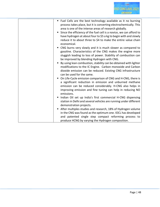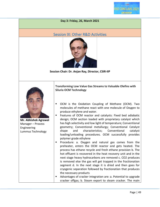## <span id="page-48-0"></span>Session IX: Other R&D Activities



**Session Chair: Dr. Anjan Ray, Director, CSIR-IIP**



**Mr. Abhishek Agrawal**  Manager – Process Engineering Lummus Technology

**Transforming Low Value Gas Streams to Valuable Olefins with Siluria OCM Technology**

- OCM is the Oxidation Coupling of Methane (OCM). Two molecules of methane react with one molecule of Oxygen to produce ethylene and water.
- Features of OCM reactor and catalysts: Fixed bed adiabatic design; OCM section loaded with proprietary catalyst which has high selectivity and low light of temperature; Conventional geometry; Conventional metallurgy; Conventional Catalyst shape and characteristics; Conventional catalyst loading/unloading procedures. OCM successfully provides polymer grade ethylene
- Procedure: a. Oxygen and natural gas comes from the preheater, enters the OCM reactor and gets heated. The process has ethane recycle and fresh ethane provision b. The hot effluent is recovered in the heat recovery unit and in the next stage heavy hydrocarbons are removed c. CO2 produces is removed else the gas will get trapped in the fractionation segment d. In the next stage it is dried and then goes for cryogenic separation followed by fractionation that produces the necessary products

Advantages of cracker integration are: a. Potential to upgrade cracker offgas; b. Steam export to steam cracker. The main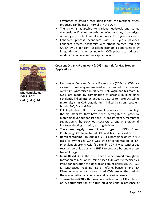|                                                    | advantage of cracker integration is that the methane offgas<br>produced can be used internally in the OCM<br>The OCM is adaptable to various feedstock and varied<br>п<br>composition. Enables monetization of natural gas, stranded gas<br>or flare gas. Excellent overall economics of 3-5 years payback<br>Enhanced process economics with 3-5 years payback.<br>п<br>Enhanced process economics with ethane co-feed, reducing<br>CAPEX by 38 per cent. Excellent economic opportunities by<br>integrating with other technologies. OCM process can adopt to<br>modularization maximizing capital savings                                                                                                                                                                                                                                                                                                                                                                                                                                                                                                                                                                                                                                                                                                                                                                                                                                                                                                                                                                                                                                                                         |
|----------------------------------------------------|--------------------------------------------------------------------------------------------------------------------------------------------------------------------------------------------------------------------------------------------------------------------------------------------------------------------------------------------------------------------------------------------------------------------------------------------------------------------------------------------------------------------------------------------------------------------------------------------------------------------------------------------------------------------------------------------------------------------------------------------------------------------------------------------------------------------------------------------------------------------------------------------------------------------------------------------------------------------------------------------------------------------------------------------------------------------------------------------------------------------------------------------------------------------------------------------------------------------------------------------------------------------------------------------------------------------------------------------------------------------------------------------------------------------------------------------------------------------------------------------------------------------------------------------------------------------------------------------------------------------------------------------------------------------------------------|
| ≍<br><b>ATIO</b><br>March<br>of STI<br>ucati       | <b>Covalent Organic Framework (COF) materials for Gas Storage</b><br><b>Applications</b>                                                                                                                                                                                                                                                                                                                                                                                                                                                                                                                                                                                                                                                                                                                                                                                                                                                                                                                                                                                                                                                                                                                                                                                                                                                                                                                                                                                                                                                                                                                                                                                             |
| Mr. Nandakumar. T<br>DGM (R&D)<br>GAIL (India) Ltd | Features of Covalent Organic Frameworks (COFs): a. COFs are<br>п<br>a class of porous organic material with extended structures and<br>were first synthesized in 2005 by Prof. Yaghi and his team; b.<br>COFs are made by combination of organic building units<br>covalently linked into extended structures to make crystalline<br>materials; c. In COF organic units linked by strong covalent<br>bonds: B-O; C-N and B-N<br>COF Applications: Due to its turnable porous structure and high<br>п<br>thermal stability, they have been investigated as potential<br>material for various applications - a. gas storage; b. membrane<br>separation c. heterogynous catalyst; d. energy storage; d.<br>Photoconducting material; e. drug delivery<br>There are largely three different types of COFs: Boron<br>п<br>Containing COF; Imine based COF; and Triazine based COF<br>Boron containing - (B-O linked) COF: a. Boronic acids were first<br>used to synthesize COFs was by self-condensation of 1,4-<br>phenylenebiboronic Acid (BDBA); b. COF 5 was synthesized<br>reacting boronic acids with HHTP to produce boronate esters<br>based linkages<br>Imine Based COFs: These COFs can also be formed through the<br>п<br>formation of C-N Bonds. Imine based COFs are synthesized via<br>imine condensation of aldehyde and amine linkers eg. COF-LZU<br>is synthesized reacting 1,3,5 Triformylbenzene and 1,4<br>Diaminobenzene. Hydrazone based COFs are synthesized via<br>the condensation of aldehydes and hydrazide linkers<br>Triazine based COFs: the covalent construction of CTFs is based<br>п<br>on cyclotrimerization of nitrile building units in presence of |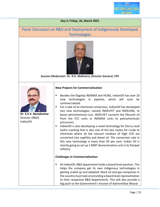<span id="page-51-0"></span>Panel Discussion on R&D and Deployment of Indigenously Developed **Technologies** 



**Session Moderator: Dr. R.K. Malhotra, Director General, FIPI**



**Dr. S.S.V. Ramakumar** Director (R&D) IndianOil

#### **New Projects for Commercialization**

- Besides the flagship INDMAX and HCNG, IndianOil has over 20 new technologies in pipeline, which will soon be commercialized
- For crude oil to chemicals conversion, IndianOil has developed two new technologies, namely INDELPET and INDELENE, to boost petrochemical runs. INDELPET converts the lifecycle oil from the FCC units or INDMAX units to petrochemicals precursors.
- IndianOil is also developing a novel technology for Slurry resid hydro cracking that is also one of the key routes for crude to chemicals where all the vacuum residues of High CCR are converted into naphtha and diesel oil. The conversion rate in this new technology is more than 95 per cent. Indian Oil is shortly going to set up 1 MMT demonstration unit in its Panipat refinery.

#### **Challenges in Commercialization**

At IndianOil, R&D department holds a board level position. This helps the company get its own indigenous technologies in getting scaled up and adopted. More oil and gas companies in the country must look at providing a board level representation to their respective R&D departments. This will also provide a big push to the Government's mission of Aatmnirbhar Bharat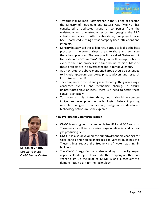|                                                                     | Towards making India Aatmnirbhar in the Oil and gas sector,<br>п<br>the Ministry of Petroleum and Natural Gas (MoPNG) has<br>constituted a dedicated group of companies from the<br>midstream and downstream sectors to synergise the R&D<br>activities in the sector. After deliberations, nine projects have<br>been shortlisted, cutting across company lines, affiliations and<br>interests.<br>Ministry has advised the collaborative group to look at the best<br>п<br>practices in the core business areas to share and exchange<br>these best practices. The group will be called 'Petroleum &<br>Natural Gas R&D Think Tank'. The group will be responsible to<br>execute the nine projects in a time bound fashion. Most of<br>these projects are in downstream and alternative energy<br>As a next step, the above mentioned group should be extended<br>Е<br>to include upstream operators, private players and research<br>institutes such as IIP<br>The companies in the Oil and gas sector are getting increasingly<br>concerned over IP and mechanism sharing. To ensure<br>uninterrupted flow of ideas, there is a need to settle these<br>concerns amicably<br>To become truly Aatmnirbhar, India should encourage<br>indigenous development of technologies. Before importing<br>new technologies from abroad, indigenously developed<br>technology options must be explored. |
|---------------------------------------------------------------------|--------------------------------------------------------------------------------------------------------------------------------------------------------------------------------------------------------------------------------------------------------------------------------------------------------------------------------------------------------------------------------------------------------------------------------------------------------------------------------------------------------------------------------------------------------------------------------------------------------------------------------------------------------------------------------------------------------------------------------------------------------------------------------------------------------------------------------------------------------------------------------------------------------------------------------------------------------------------------------------------------------------------------------------------------------------------------------------------------------------------------------------------------------------------------------------------------------------------------------------------------------------------------------------------------------------------------------------------------------------------------------------------------|
| Dr. Sanjeev Katti,<br>Director General<br><b>ONGC Energy Centre</b> | <b>New Projects for Commercialization</b><br>ONGC is soon going to commercialize H2S and SO2 sensors.<br>п<br>These sensors will find extensive usage in refineries and natural<br>gas producing fields.<br>ONGC has also developed the superhydrophobic coatings for<br>solar panels and non-solar usages like vertical buildings etc.<br>These things reduce the frequency of water washing in<br>buildings<br>The ONGC Energy Centre is also working on the Hydrogen<br>copper chloride cycle. It will take the company another two<br>years to set up the pilot of 12 MTPA and subsequently a<br>demonstration plant for the technology                                                                                                                                                                                                                                                                                                                                                                                                                                                                                                                                                                                                                                                                                                                                                      |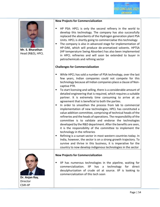

|                                               | <b>New Projects for Commercialization</b>                                                                                                                                                                                                                                                                                                                                                                                                                                                                                                                                                                                                                                                                                                                                                                                                                                                                                                                                                                                                                                                                                                                                                                                                   |
|-----------------------------------------------|---------------------------------------------------------------------------------------------------------------------------------------------------------------------------------------------------------------------------------------------------------------------------------------------------------------------------------------------------------------------------------------------------------------------------------------------------------------------------------------------------------------------------------------------------------------------------------------------------------------------------------------------------------------------------------------------------------------------------------------------------------------------------------------------------------------------------------------------------------------------------------------------------------------------------------------------------------------------------------------------------------------------------------------------------------------------------------------------------------------------------------------------------------------------------------------------------------------------------------------------|
| Mr. S. Bharathan<br>Head (R&D), HPCL          | HP PSA: HPCL is only the second refinery in the world to<br>ш<br>develop this technology. The company has also successfully<br>replaced the absorbents of the Hydrogen generation plant PSA<br>Units. HPCL is shortly going to commercialise this technology<br>The company is also in advanced stage for implementation of<br>٠<br>HP-DAK, which will produce de-aromatized solvents. HPTSA<br>(HP temperature Swing Absorber) has also been implemented<br>in HPCL refineries and will soon be extended to buyer in<br>petrochemicals and refining sector                                                                                                                                                                                                                                                                                                                                                                                                                                                                                                                                                                                                                                                                                 |
|                                               | <b>Challenges for Commercialization</b>                                                                                                                                                                                                                                                                                                                                                                                                                                                                                                                                                                                                                                                                                                                                                                                                                                                                                                                                                                                                                                                                                                                                                                                                     |
|                                               | While HPCL has sold a number of PSA technology, over the last<br>few years, Indian companies could not compete for this<br>technology because all Indian companies place a clause of Non-<br>captive PTR.<br>To start licensing and selling, there is a considerable amount of<br>ш<br>detailed engineering that is required, which requires a suitable<br>partner. It is extremely time consuming to arrive at an<br>agreement that is beneficial to both the parties.<br>In order to smoothen the process from lab to commercial<br>٠<br>implementation of new technologies, HPCL has constituted a<br>value addition committee, comprising of technical heads of the<br>refineries and the heads of operations. The responsibility of the<br>committee is to validate and endorse the technologies<br>developed by the R&D department. After the benefits are seen,<br>it is the responsibility of the committee to implement the<br>technology in the refineries<br>Refining is a sunset sector in most western countries today. In<br>India, however, the sector is on a strong growth trajectory. To<br>survive and thrive in this business, it is imperative for the<br>country to now develop indigenous technologies in the sector |
|                                               | <b>New Projects for Commercialization</b>                                                                                                                                                                                                                                                                                                                                                                                                                                                                                                                                                                                                                                                                                                                                                                                                                                                                                                                                                                                                                                                                                                                                                                                                   |
| Dr. Anjan Ray,<br>Director<br><b>CSIR-IIP</b> | IIP has numerous technologies in the pipeline, waiting for<br>commercialization. IIP<br>has<br>technology<br>for<br>$\mathsf{a}$<br>direct<br>desulphurization of crude oil at source. IIP is looking to<br>commercialization of this tech soon                                                                                                                                                                                                                                                                                                                                                                                                                                                                                                                                                                                                                                                                                                                                                                                                                                                                                                                                                                                             |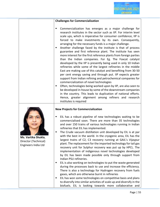

#### **Challenges for Commercialization**

- Commercialization has emerges as a major challenge for research institutes in the sector such as IIP. For interim level scale ups, which is imperative for consumer confidence, IIP is forced to make investments by its own. Consequently, arranging for the necessary funds is a major challenge.
- Another challenge faced by the institute is that of process guarantee and first reference plant. The institute has seen more interest for the first reference plants from foreign parties than the Indian companies. For Eg. The Foxcat catalyst developed by the IIP is presently being used in only 10 Indian refineries while some of the largest refineries in the middle East are making use of this catalyst and benefiting from 30-50 per cent energy saving and through put. IIP expects greater support from Indian refining and petrochemical companies for commercialization of novel technologies
- Often, technologies being worked upon by IIP, are also seen to be developed in-house by some of the downstream companies in the country. This leads to duplication of national efforts. Hence, greater alignment among refiners and research institutes is required

#### **New Projects for Commercialization**

- EIL has a robust pipeline of new technologies waiting to be commercialised soon. There are more than 35 technologies and over 150 trains of various technologies running in Indian refineries that EIL has implemented.
- The Crude vacuum distillation unit developed by EIL is at par with the best in the world. In the cryogenic area, EIL has the largest trains of C2, C3 recovery running at GAIL's Vijaypur plant. The replacement for the imported technology for tail gas recovery unit for Sulphur recovery was put up by HPCL. The implementation of indigenous novel technologies developed by EIL has been made possible only through support from Indian PSU refineries.
- EIL is also working on technologies to put the waste generated during the processes back to use and increase the efficiency. There is also a technology for Hydrogen recovery from fuels gases, which are otherwise burnt in refineries
- EIL has won some technologies on competitive basis and plans to diversify into similar activities of scale up and diversify in the biofuels. EIL is looking towards more collaborative and



**Ms. Vartika Shukla**, Director (Technical) Engineers India Ltd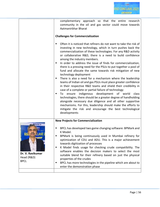|                                                               | complementary approach so that the entire research<br>community in the oil and gas sector could move towards<br>Aatmanirbhar Bharat                                                                                                                                                                                                                                                                                                                                                                                                                                                                                                                                                                                                                                                                                                                                                                                                                                                                                                                                                                                    |
|---------------------------------------------------------------|------------------------------------------------------------------------------------------------------------------------------------------------------------------------------------------------------------------------------------------------------------------------------------------------------------------------------------------------------------------------------------------------------------------------------------------------------------------------------------------------------------------------------------------------------------------------------------------------------------------------------------------------------------------------------------------------------------------------------------------------------------------------------------------------------------------------------------------------------------------------------------------------------------------------------------------------------------------------------------------------------------------------------------------------------------------------------------------------------------------------|
|                                                               | <b>Challenges for Commercialization</b>                                                                                                                                                                                                                                                                                                                                                                                                                                                                                                                                                                                                                                                                                                                                                                                                                                                                                                                                                                                                                                                                                |
|                                                               | Often it is noticed that refiners do not want to take the risk of<br>investing in new technology, which in turn pushes back the<br>commercialization of these technologies. For any R&D activity<br>or collaborative R&D, there is a need to build confidence<br>among the industry members.<br>In order to address the issue of finds for commercialization,<br>there is a pressing need for the PSUs to put together a pool of<br>fund and allocate the same towards risk mitigation of new<br>technology deployment<br>There is also a need for a mechanism where the leadership<br>teams of Indian oil and gas PSUs must place greater confidence<br>in their respective R&D teams and shield their credibility in<br>case of a complete or partial failure of technology<br>indigenous development of world<br>class<br>ensure<br>п<br>To<br>technologies, there should be a greater degree of handholding<br>alongside necessary due diligence and all other supportive<br>mechanisms. For this, leadership should make the efforts to<br>mitigate the risk and encourage the best technological<br>developments |
| Welcome to                                                    | <b>New Projects for Commercialization</b>                                                                                                                                                                                                                                                                                                                                                                                                                                                                                                                                                                                                                                                                                                                                                                                                                                                                                                                                                                                                                                                                              |
| <b>ONNIG</b><br>Dr. V. Ravikumar<br>Head (R&D)<br><b>BPCL</b> | BPCL has developed two game changing software: BPMark and<br>K Model.<br>BPMark is being continuously used in Mumbai refinery for<br>optimization of CDU and ADU. This is a major achievement<br>towards digitization of processes<br>K Model finds usage for checking crude compatibility. The<br>٠<br>software enables the decision makers to select the most<br>suitable blend for their refinery based on just the physical<br>properties of the crudes<br>BPCL has more technologies in the pipeline which are about to<br>٠<br>enter the demonstration phase                                                                                                                                                                                                                                                                                                                                                                                                                                                                                                                                                     |